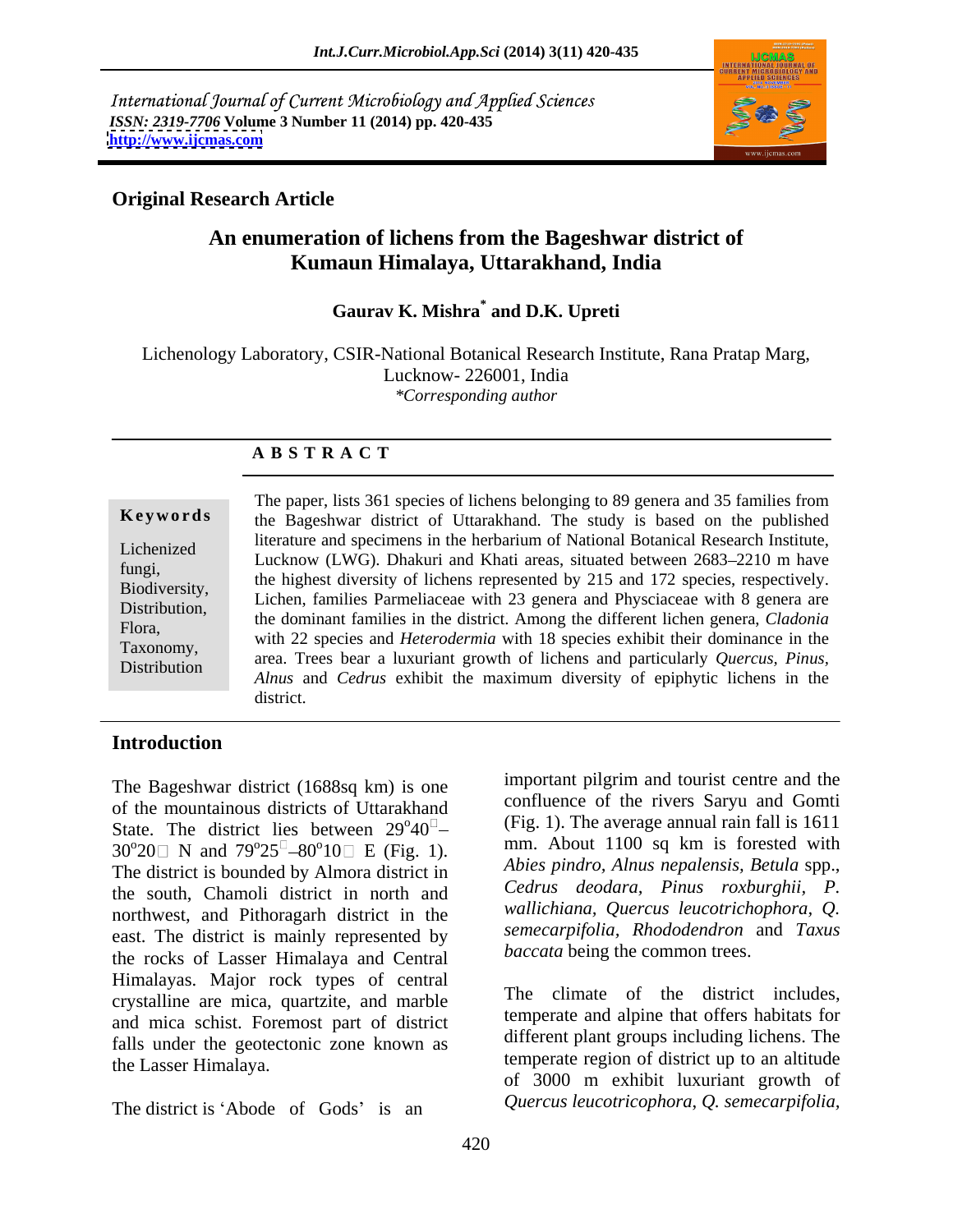International Journal of Current Microbiology and Applied Sciences *ISSN: 2319-7706* **Volume 3 Number 11 (2014) pp. 420-435 <http://www.ijcmas.com>**



# **Original Research Article**

# **An enumeration of lichens from the Bageshwar district of Kumaun Himalaya, Uttarakhand, India**

 **Gaurav K. Mishra\*** Gaurav K. Mishra<sup>\*</sup> and D.K. Upreti

Lichenology Laboratory, CSIR-National Botanical Research Institute, Rana Pratap Marg, Lucknow- 226001, India *\*Corresponding author* 

### **A B S T R A C T**

**Keywords** the Bageshwar district of Uttarakhand. The study is based on the published Lichenized Increases and Specifiens in the herbarium of National Botanical Research Institute,<br>
Lucknow (LWG). Dhakuri and Khati areas, situated between 2683–2210 m have fungi,<br>the highest diversity of lichens represented by 215 and 172 species, respectively. Biodiversity,<br>
Lichen, families Parmeliaceae with 23 genera and Physciaceae with 8 genera are<br>
Lichen, families Parmeliaceae with 23 genera and Physciaceae with 8 genera are Distribution, Elemen, rannines I ameriadeae with 25 genera and I hystraceae with 8 genera are<br>Flore the dominant families in the district. Among the different lichen genera, *Cladonia* Flora,<br>
with 22 species and *Heterodermia* with 18 species exhibit their dominance in the Taxonomy, area. Trees bear a luxuriant growth of lichens and particularly *Quercus, Pinus,* Distribution area. Here bear a fuxuriant growth of fictions and *particularly guercus*, *I thus*,<br>*Alnus* and *Cedrus* exhibit the maximum diversity of epiphytic lichens in the The paper, lists 361 species of lichens belonging to 89 genera and 35 families from literature and specimens in the herbarium of National Botanical Research Institute, district.

# **Introduction**

The Bageshwar district (1688sq km) is one of the mountainous districts of Uttarakhand State. The district lies between  $29^{\circ}40^{\circ}$  $30^{\circ}20$  N and  $79^{\circ}25^{\circ} - 80^{\circ}10$  E (Fig. 1). mm. About 1100 sq km is forested with The district is bounded by Almora district in the south, Chamoli district in north and northwest, and Pithoragarh district in the east. The district is mainly represented by the rocks of Lasser Himalaya and Central Himalayas. Major rock types of central crystalline are mica, quartzite, and marble and mica schist. Foremost part of district falls under the geotectonic zone known as

The district is 'Abode of Gods' is an

 $\sigma_{40}$ <sup> $\sigma$ </sup> $\sigma$  (Fig. 1). The average annual rain fall is 1611  $40^{\circ}$  (Fig. 1). The average annual rain fail is 1011  ${}^{\circ}25^{\circ}$  –80 ${}^{\circ}10\circ$  E (Fig. 1). mm. About 1100 sq km is forested with  $10 \Box$  E (Fig. 1).  $\Box$   $\Box$  About 1100 sq km is forested with important pilgrim and tourist centre and the confluence of the rivers Saryu and Gomti *Abies pindro, Alnus nepalensis, Betula* spp., *Cedrus deodara, Pinus roxburghii, P. wallichiana, Quercus leucotrichophora, Q. semecarpifolia, Rhododendron* and *Taxus baccata* being the common trees.

the Lasser Himalaya. temperate region of district up to an altitude The climate of the district includes, temperate and alpine that offers habitats for different plant groups including lichens. The of 3000 m exhibit luxuriant growth of *Quercus leucotricophora*, *Q. semecarpifolia,*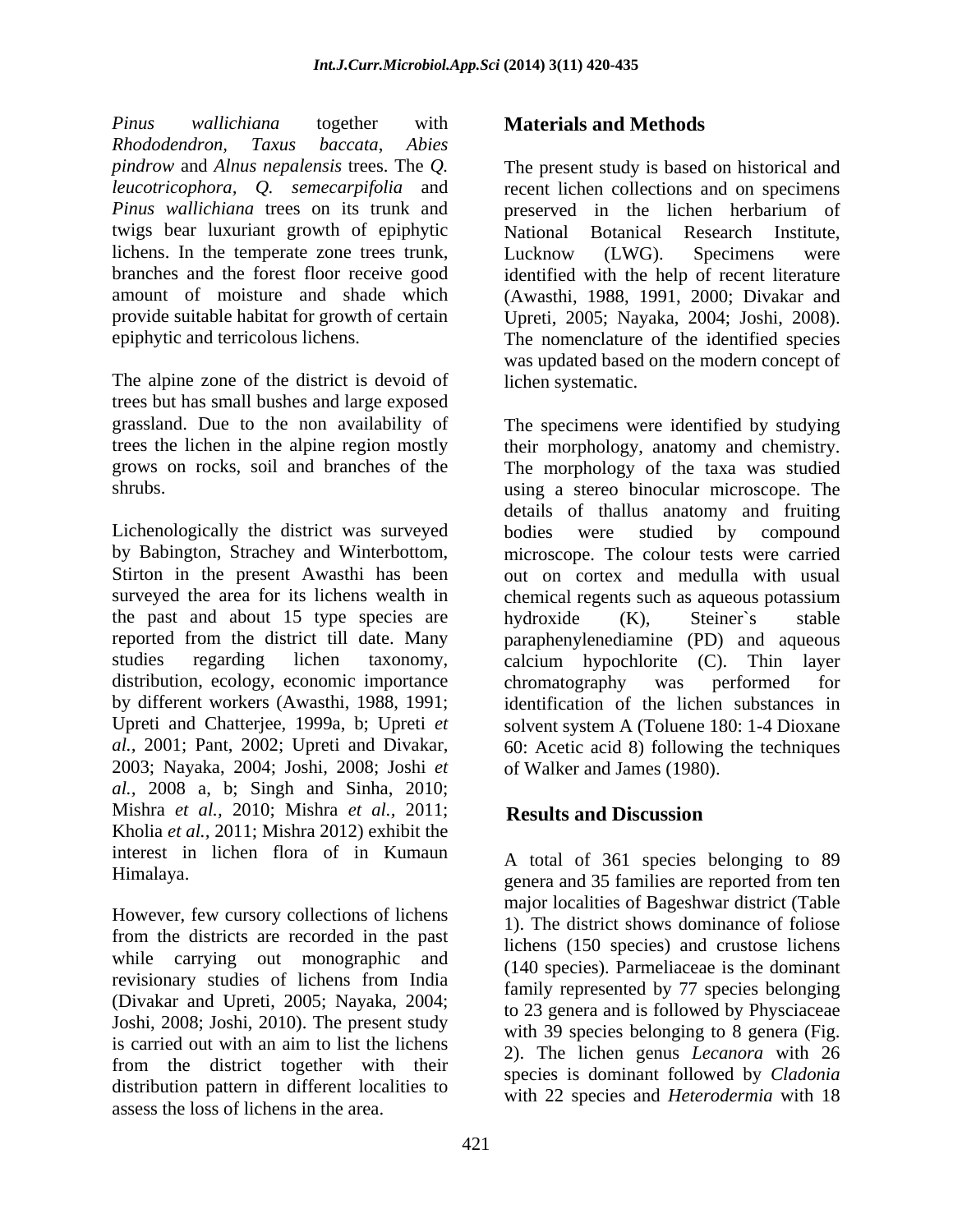*Pinus wallichiana* together with *Rhododendron, Taxus baccata*, *Abies Pinus wallichiana* trees on its trunk and **preserved** in the lichen herbarium of twigs bear luxuriant growth of epiphytic lichens. In the temperate zone trees trunk, Lucknow (LWG). Specimens were

The alpine zone of the district is devoid of trees but has small bushes and large exposed

Lichenologically the district was surveyed bodies were studied by compound the past and about 15 type species are bydroxide (K), Steiner's stable reported from the district till date. Many distribution, ecology, economic importance chromatography was performed for 2003; Nayaka, 2004; Joshi, 2008; Joshi *et al.,* 2008 a, b; Singh and Sinha, 2010; Mishra *et al.,* 2010; Mishra *et al.,* 2011; Kholia *et al.,* 2011; Mishra 2012) exhibit the interest in lichen flora of in Kumaun

However, few cursory collections of lichens from the districts are recorded in the past while carrying out monographic and revisionary studies of lichens from India (Divakar and Upreti, 2005; Nayaka, 2004; Joshi, 2008; Joshi, 2010). The present study is carried out with an aim to list the lichens  $\frac{1}{2}$  The lichen genus Lecanora with 26 from the district together with their distribution pattern in different localities to assess the loss of lichens in the area.

# **Materials and Methods**

*pindrow* and *Alnus nepalensis* trees. The *Q.* The present study is based on historical and *leucotricophora, Q. semecarpifolia* and recent lichen collections and on specimens branches and the forest floor receive good identified with the help of recent literature amount of moisture and shade which (Awasthi, 1988, 1991, 2000; Divakar and provide suitable habitat for growth of certain Upreti, 2005; Nayaka, 2004; Joshi, 2008). epiphytic and terricolous lichens. The nomenclature of the identified species preserved in the lichen herbarium of National Botanical Research Institute, Lucknow (LWG). Specimens were was updated based on the modern concept of lichen systematic.

grassland. Due to the non availability of The specimens were identified by studying trees the lichen in the alpine region mostly their morphology, anatomy and chemistry. grows on rocks, soil and branches of the The morphology of the taxa was studied shrubs. using a stereo binocular microscope. The by Babington, Strachey and Winterbottom, microscope. The colour tests were carried Stirton in the present Awasthi has been out on cortex and medulla with usual surveyed the area for its lichens wealth in chemical regents such as aqueous potassium studies regarding lichen taxonomy, calcium hypochlorite (C). Thin layer by different workers (Awasthi, 1988, 1991; identification of the lichen substances in Upreti and Chatterjee, 1999a, b; Upreti *et*  solvent system A (Toluene 180: 1-4 Dioxane *al.*, 2001; Pant, 2002; Upreti and Divakar, 60: Acetic acid 8) following the techniques details of thallus anatomy and fruiting bodies were studied by compound hydroxide (K), Steiner`s stable paraphenylenediamine (PD) and aqueous chromatography was performed for of Walker and James (1980).

# **Results and Discussion**

Himalaya. genera and 35 families are reported from ten A total of 361 species belonging to 89 major localities of Bageshwar district (Table 1). The district shows dominance of foliose lichens (150 species) and crustose lichens (140 species). Parmeliaceae is the dominant family represented by 77 species belonging to 23 genera and is followed by Physciaceae with 39 species belonging to 8 genera (Fig. 2). The lichen genus *Lecanora* with 26 species is dominant followed by *Cladonia* with 22 species and *Heterodermia* with 18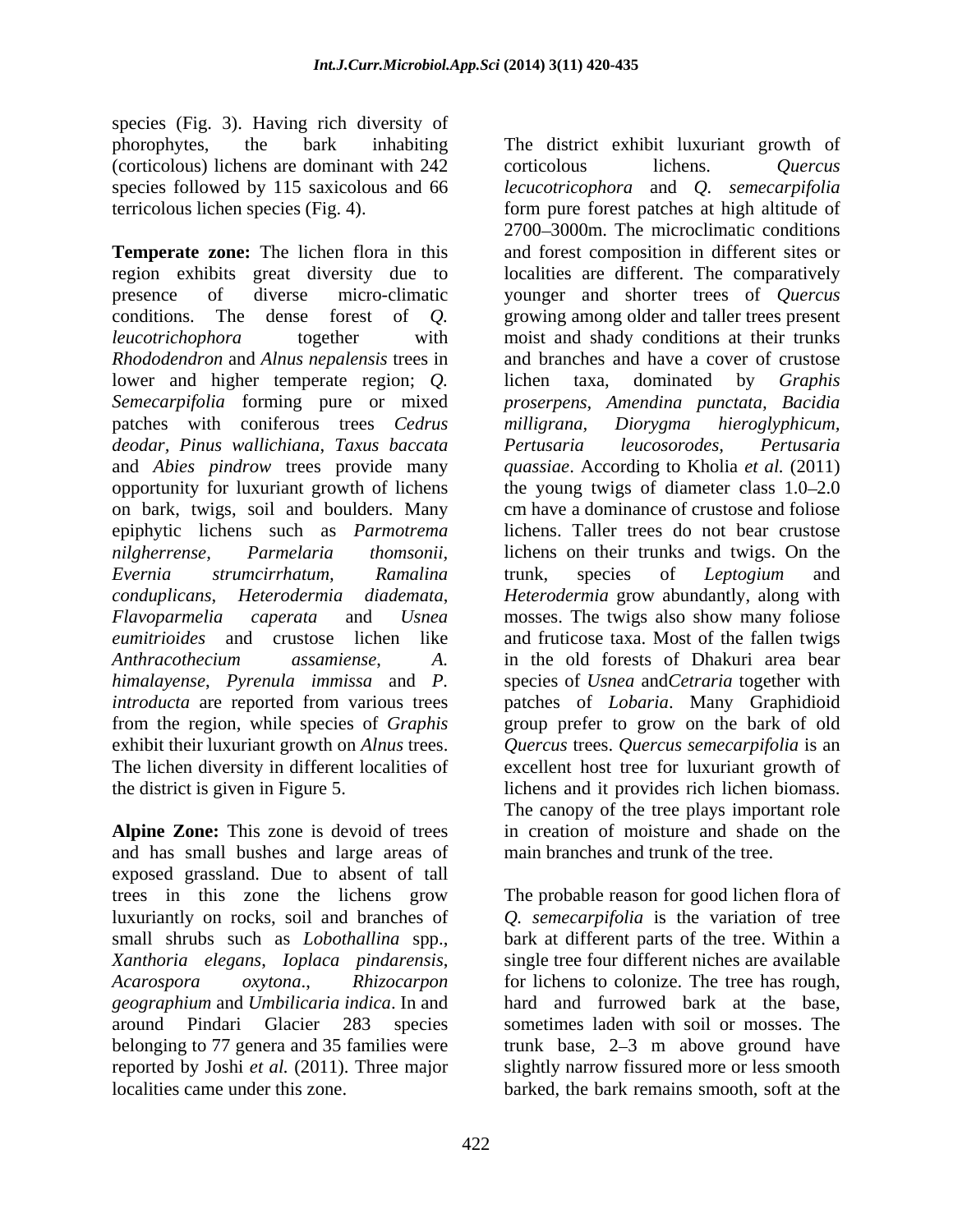species (Fig. 3). Having rich diversity of phorophytes, the bark inhabiting The district exhibit luxuriant growth of (corticolous) lichens are dominant with 242 terricolous lichen species (Fig. 4).

**Temperate zone:** The lichen flora in this region exhibits great diversity due to localities are different. The comparatively presence of diverse micro-climatic younger and shorter trees of *Quercus* conditions. The dense forest of *Q*. growing among older and taller trees present *leucotrichophora* together with moist and shady conditions at their trunks *Rhododendron* and *Alnus nepalensis* trees in lower and higher temperate region; *Q.* lichen taxa, dominated by *Graphis*<br>*Semecarpifolia* forming pure or mixed *proserpens, Amendina punctata, Bacidia* patches with coniferous trees *Cedrus deodar, Pinus wallichiana*, *Taxus baccata* and *Abies pindrow* trees provide many *quassiae*. According to Kholia *et al.* (2011) opportunity for luxuriant growth of lichens the young twigs of diameter class 1.0–2.0 on bark, twigs, soil and boulders. Many epiphytic lichens such as *Parmotrema nilgherrense, Parmelaria thomsonii,* lichens on their trunksand twigs. On the *Evernia strumcirrhatum, Ramalina conduplicans*, *Heterodermia diademata*, *Heterodermia* grow abundantly, along with *Flavoparmelia caperata* and *Usnea* mosses. The twigs also show many foliose eumitrioides and crustose lichen like and fruticose taxa. Most of the fallen twigs *Anthracothecium assamiense*, *A.* in the old forests of Dhakuri area bear<br>*himalayense*, *Pyrenula immissa* and *P.* species of *Usnea* and *Cetraria* together with<br>*introducta* are reported from various trees batches of from the region, while species of *Graphis* group prefer to grow on the bark of old exhibit their luxuriant growth on *Alnus* trees. *Quercus* trees. *Quercus semecarpifolia* is an The lichen diversity in different localities of excellent host tree for luxuriant growth of the district is given in Figure 5.

**Alpine Zone:** This zone is devoid of trees and has small bushes and large areas of exposed grassland. Due to absent of tall *Xanthoria elegans*, *Ioplaca pindarensis*, reported by Joshi *et al.* (2011). Three major

species followed by 115 saxicolous and 66 *lecucotricophora* and *Q. semecarpifolia* corticolous lichens. *Quercus* form pure forest patches at high altitude of 2700 3000m. The microclimatic conditions and forest composition in different sites or growing among older and taller trees present moist and shady conditions at their trunks and branches and have a cover of crustose lichen taxa, dominated by *Graphis proserpens, Amendina punctata, Bacidia milligrana, Diorygma hieroglyphicum, Pertusaria leucosorodes, Pertusaria* cm have a dominance of crustose and foliose lichens. Taller trees do not bear crustose trunk, species of *Leptogium* and in the old forests of Dhakuri area bear species of *Usnea* and*Cetraria* together with patches of *Lobaria*. Many Graphidioid lichens and it provides rich lichen biomass. The canopy of the tree plays important role in creation of moisture and shade on the main branches and trunk of the tree.

trees in this zone the lichens grow The probable reason for good lichen flora of luxuriantly on rocks, soil and branches of *Q. semecarpifolia* is the variation of tree small shrubs such as *Lobothallina* spp., bark at different parts of the tree. Within a *Acarospora oxytona*., *Rhizocarpon* for lichens to colonize. The tree has rough, *geographium* and *Umbilicaria indica*. In and hard and furrowed bark at the base, around Pindari Glacier 283 species sometimes laden with soil or mosses. The belonging to 77 genera and 35 families were trunk base, 2–3 m above ground have localities came under this zone. barked, the bark remains smooth, soft at thesingle tree four different niches are available slightly narrow fissured more or less smooth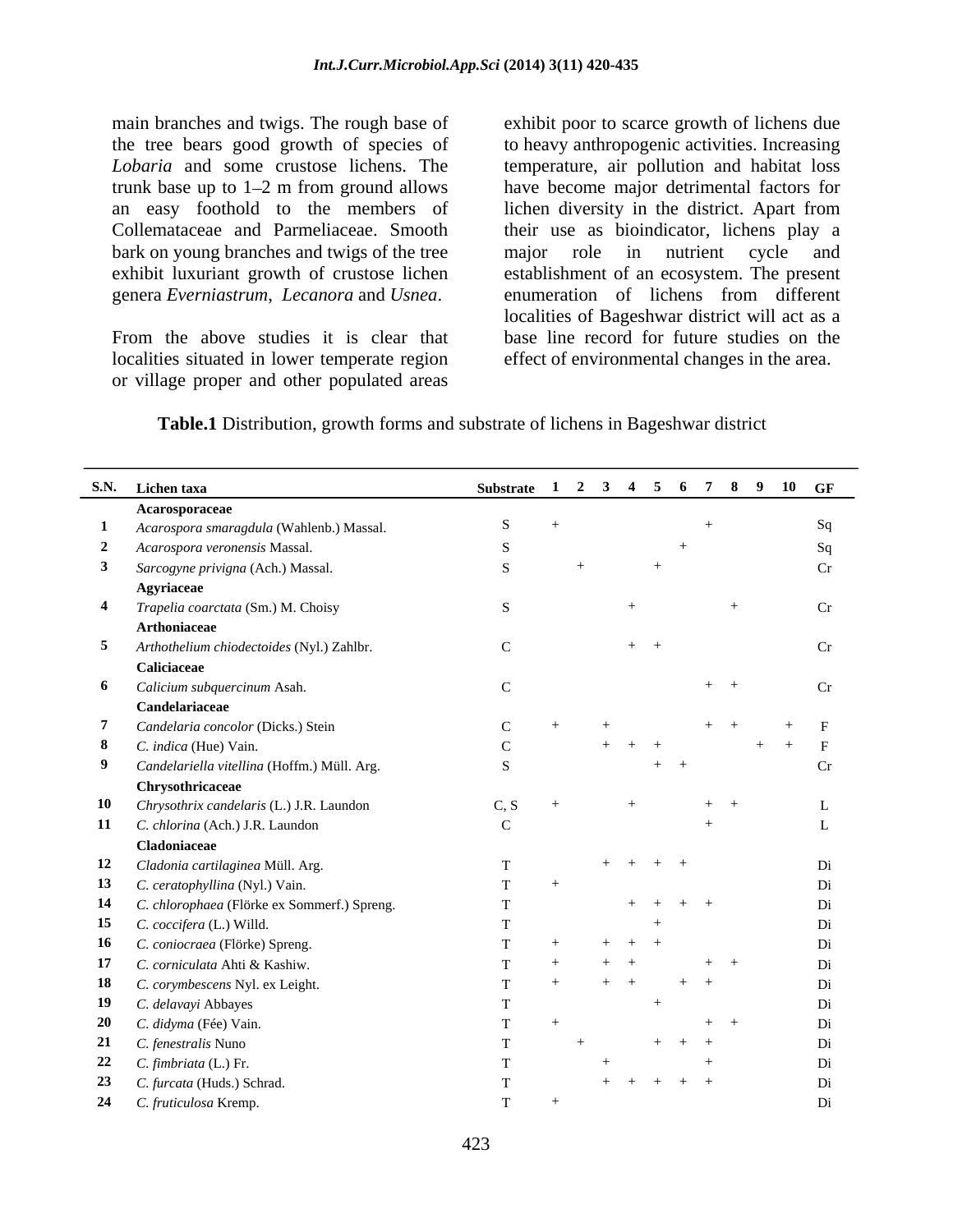bark on young branches and twigs of the tree major role in nutrient cycle and exhibit luxuriant growth of crustose lichen genera *Everniastrum*, *Lecanora* and *Usnea*.

localities situated in lower temperate region or village proper and other populated areas

main branches and twigs. The rough base of exhibit poor to scarce growth of lichens due the tree bears good growth of species of to heavy anthropogenic activities. Increasing Lobaria and some crustose lichens. The temperature, air pollution and habitat loss trunk base up to 1–2 m from ground allows have become major detrimental factors for an easy foothold to the members of lichen diversity in the district. Apart from Collemataceae and Parmeliaceae. Smooth their use as bioindicator, lichens play a From the above studies it is clear that base line record for future studies on the major role in nutrient cycle and establishment of an ecosystem. The present enumeration of lichens from different localities of Bageshwar district will act as a effect of environmental changes in the area.

**Table.1** Distribution, growth forms and substrate of lichens in Bageshwar district

| S.N. Lichen taxa                               | Substrate 1 2 3 4 5 6 7 8 9 10 GF |         |
|------------------------------------------------|-----------------------------------|---------|
| Acarosporaceae                                 |                                   |         |
| 1 Acarospora smaragdula (Wahlenb.) Massal.     | S                                 |         |
| 2 Acarospora veronensis Massal.                |                                   |         |
| 3 Sarcogyne privigna (Ach.) Massal.            |                                   |         |
| Agyriaceae                                     |                                   |         |
| 4 Trapelia coarctata (Sm.) M. Choisy           |                                   | Cr      |
| Arthoniaceae                                   |                                   |         |
| 5 Arthothelium chiodectoides (Nyl.) Zahlbr.    | $\mathcal{C}$<br>$+$ $+$          | Cr      |
| Caliciaceae                                    |                                   |         |
| 6 Calicium subquercinum Asah.                  | $+$ $+$                           | $C_{r}$ |
|                                                |                                   |         |
| Candelariaceae                                 | $+$ $+$                           |         |
| 7 Candelaria concolor (Dicks.) Stein           |                                   |         |
| 8 C. indica (Hue) Vain.                        | $+$ $+$ $+$                       | $+$ $+$ |
| 9 Candelariella vitellina (Hoffm.) Müll. Arg.  | $+$ $+$                           |         |
| Chrysothricaceae                               |                                   |         |
| 10 Chrysothrix candelaris (L.) J.R. Laundon    | C.S<br>$+$ $+$                    |         |
| 11 C. chlorina (Ach.) J.R. Laundon             |                                   |         |
| Cladoniaceae                                   |                                   |         |
| 12 Cladonia cartilaginea Müll. Arg.            | $+ + + + +$                       |         |
| 13 C. ceratophyllina (Nyl.) Vain.              |                                   |         |
| 14 C. chlorophaea (Flörke ex Sommerf.) Spreng. | $+$ $+$ $+$ $+$                   |         |
| 15 C. coccifera (L.) Willd.                    |                                   |         |
| 16 C. coniocraea (Flörke) Spreng.              | $+$ $+$ $+$                       |         |
| 17 C. corniculata Ahti & Kashiw.               | $+$ $+$<br>$+$ $+$                |         |
| 18 C. corymbescens Nyl. ex Leight.             | $+$ $+$<br>$+$ $+$                |         |
| 19 C. delavayi Abbayes                         |                                   |         |
| 20 C. didyma (Fée) Vain.                       | $+$ $+$                           |         |
| 21 C. fenestralis Nuno                         | $+$ $+$ $+$                       |         |
| 22 $C.$ fimbriata (L.) Fr.                     | $+$                               |         |
|                                                | $+ + + + + +$                     |         |
| 23 C. furcata (Huds.) Schrad.                  |                                   |         |
| 24 C. fruticulosa Kremp.                       |                                   |         |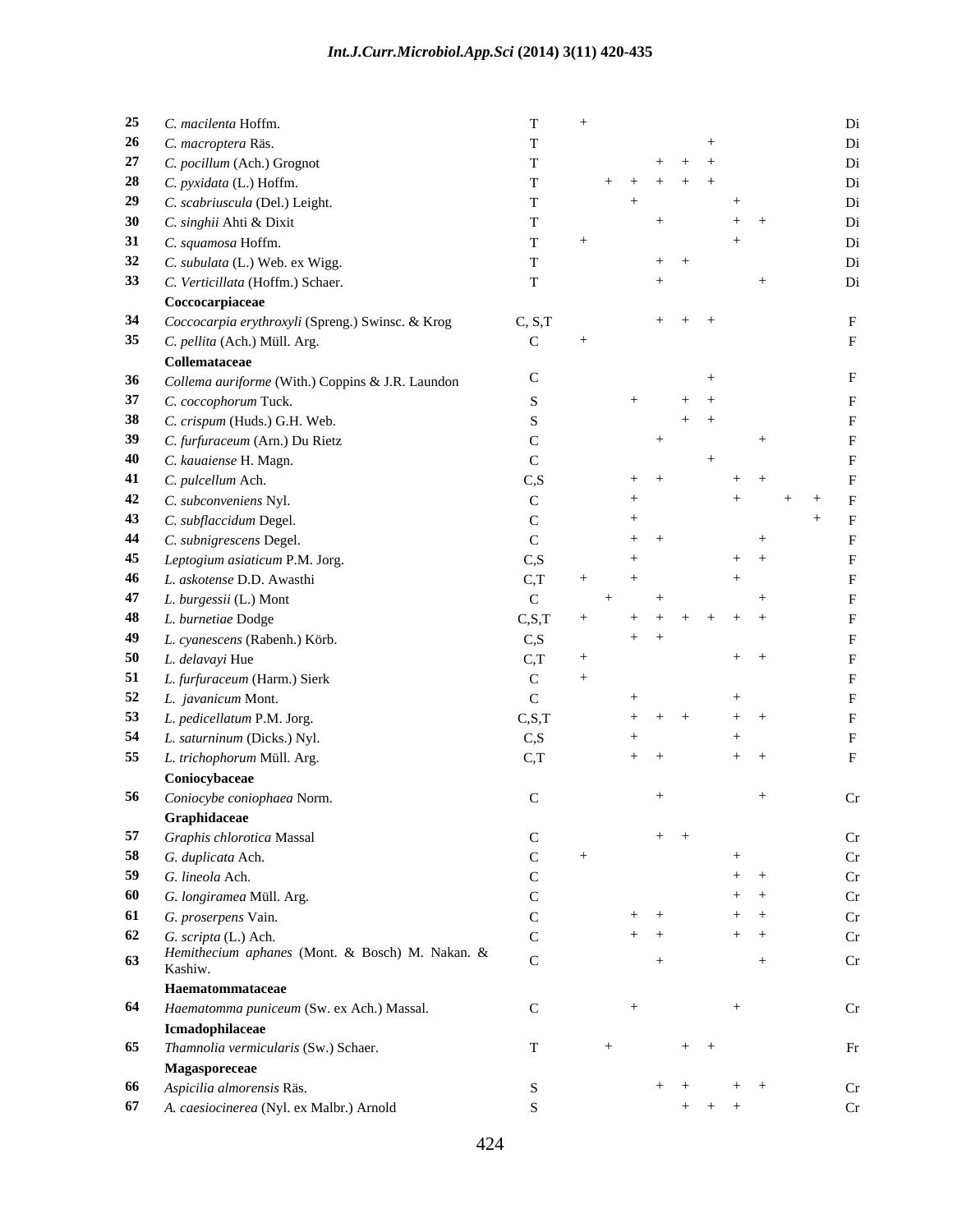|    | 25 C. macilenta Hoffm.                              |                                 |                     |               | Di |
|----|-----------------------------------------------------|---------------------------------|---------------------|---------------|----|
|    | 26 C. macroptera Räs.                               |                                 |                     |               | Di |
|    | 27 C. pocillum (Ach.) Grognot                       |                                 | $+ + +$             |               | Di |
|    | 28 C. pyxidata (L.) Hoffm.                          |                                 | $+$ $+$ $+$ $+$ $+$ |               | Di |
|    | 29 C. scabriuscula (Del.) Leight.                   |                                 | $+$                 | $+$           |    |
|    | 30 C. singhii Ahti & Dixit                          |                                 |                     | $+$ $+$       | Di |
|    | 31 C. squamosa Hoffm.                               |                                 |                     | $+$           | Di |
|    | 32 C. subulata (L.) Web. ex Wigg.                   |                                 | $+$ $+$             |               |    |
|    | 33 C. Verticillata (Hoffm.) Schaer.                 |                                 |                     |               | Di |
|    | Coccocarpiaceae                                     |                                 |                     |               |    |
|    | 34 Coccocarpia erythroxyli (Spreng.) Swinsc. & Krog | C, S, T                         | $+ + + +$           |               |    |
|    |                                                     | $\mathcal{C}$ and $\mathcal{C}$ | $+$                 |               |    |
|    | 35 C. pellita (Ach.) Müll. Arg.                     |                                 |                     |               |    |
|    | Collemataceae                                       |                                 |                     |               |    |
|    | 36 Collema auriforme (With.) Coppins & J.R. Laundon |                                 |                     |               |    |
|    | 37 C. coccophorum Tuck.                             |                                 | $+$                 | $+$ $+$       |    |
|    | 38 C. crispum (Huds.) G.H. Web.                     |                                 |                     | $+$ $+$       |    |
|    | 39 C. furfuraceum (Arn.) Du Rietz                   |                                 |                     |               |    |
|    | 40 C. kauaiense H. Magn.                            |                                 |                     |               |    |
|    | 41 C. pulcellum Ach.                                | $\overline{C}$ S                | $+$ $+$             | $+$ $+$       |    |
|    | 42 C. subconveniens Nyl.                            |                                 |                     |               |    |
|    | 43 C. subflaccidum Degel.                           |                                 |                     |               |    |
|    | 44 C. subnigrescens Degel.                          |                                 | $+$ $+$             |               |    |
|    | 45 Leptogium asiaticum P.M. Jorg.                   | CS                              |                     | $+$ $+$       |    |
|    | 46 L. askotense D.D. Awasthi                        |                                 |                     |               |    |
|    | 47 L. burgessii (L.) Mont                           |                                 |                     |               |    |
|    | 48 L. burnetiae Dodge                               | C.S.T                           | $+ + + + + + +$     |               |    |
|    | 49 L. cyanescens (Rabenh.) Körb.                    | CS                              | $+$ $+$             |               |    |
|    | 50 $L.$ <i>delavayi</i> Hue                         | C.T                             |                     | $+$ $+$       |    |
|    | 51 L. furfuraceum (Harm.) Sierk                     |                                 |                     |               |    |
|    | 52 L. javanicum Mont.                               |                                 |                     | $+$           |    |
|    |                                                     |                                 |                     |               |    |
|    | 53 L. pedicellatum P.M. Jorg.                       | C, S, T                         | $+$ $+$ $+$         | $+$ $+$       |    |
|    | 54 L. saturninum (Dicks.) Nyl.                      | C, S                            |                     | $+$           |    |
|    | 55 L. trichophorum Müll. Arg.                       | C,T                             | $+$ $+$             | $+$ $+$       |    |
|    | Coniocybaceae                                       |                                 |                     |               |    |
|    | 56 Coniocybe coniophaea Norm.                       |                                 |                     |               | Cr |
|    | Graphidaceae                                        |                                 |                     |               |    |
|    | 57 Graphis chlorotica Massal                        |                                 | $+$ $+$             |               | Cr |
|    | 58 G. duplicata Ach.                                |                                 |                     | $+$           | Cr |
|    | 59 G. lineola Ach.                                  |                                 |                     | $+$ $+$       | Cr |
|    | 60 G. longiramea Müll. Arg.                         |                                 |                     | $+$ $+$       | Cr |
|    | 61 G. proserpens Vain.                              |                                 | $+$ $+$             | $+$ $+$       | Cr |
|    | 62 G. scripta (L.) Ach.                             |                                 | $+$ $+$             | $+$ $+$       | Cr |
|    | Hemithecium aphanes (Mont. & Bosch) M. Nakan. &     |                                 |                     |               |    |
| 63 | Kashiw.                                             |                                 |                     | $+$           | Cr |
|    | Haematommataceae                                    |                                 |                     |               |    |
|    | 64 Haematomma puniceum (Sw. ex Ach.) Massal.        | $\mathbf C$                     | $+$                 | $+$           | Cr |
|    | Icmadophilaceae                                     |                                 |                     |               |    |
|    | 65 Thamnolia vermicularis (Sw.) Schaer.             | $\mathbf{T}$                    | $+$<br>$+$ $+$      |               | Fr |
|    | Magasporeceae                                       |                                 |                     |               |    |
|    | 66 Aspicilia almorensis Räs.                        |                                 |                     | $+ +$ $+$ $+$ | Cr |
|    | 67 A. caesiocinerea (Nyl. ex Malbr.) Arnold         |                                 |                     | $+$ $+$ $+$   | Cr |
|    |                                                     |                                 |                     |               |    |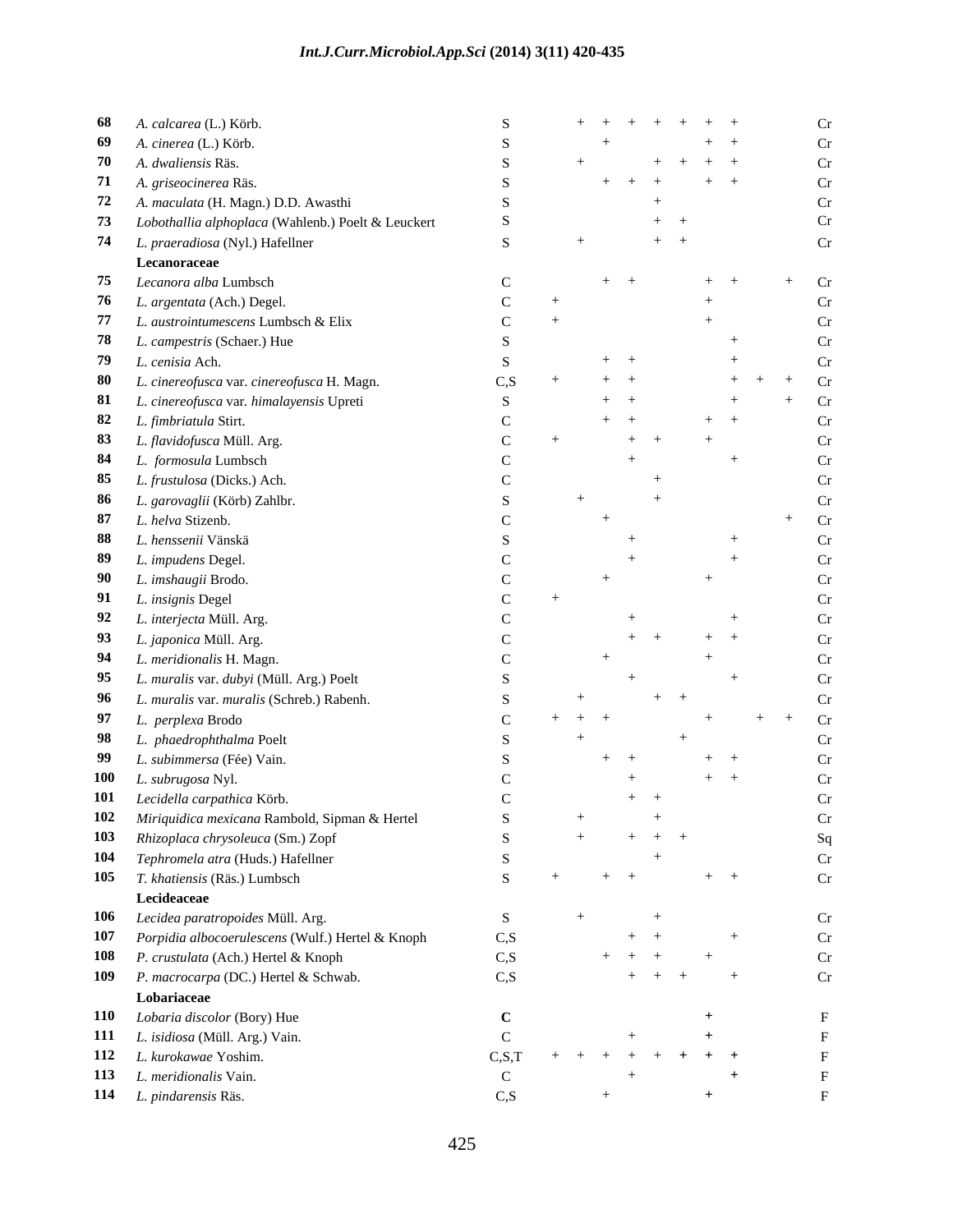### *Int.J.Curr.Microbiol.App.Sci* **(2014) 3(11) 420-435**

| 68 A. calcarea (L.) Körb.                             | $+$ + + + + + +<br>Cr                 |
|-------------------------------------------------------|---------------------------------------|
| 69 A. cinerea (L.) Körb.                              | Cr<br>$+$ $+$                         |
| 70 A. dwaliensis Räs.                                 | Cr<br>$+ + + + +$                     |
| 71 A. griseocinerea Räs.                              | $+$ $+$ $+$ $+$ $+$<br>Cr.            |
| 72 A. maculata (H. Magn.) D.D. Awasthi                | $+$<br>Cr                             |
| 73 Lobothallia alphoplaca (Wahlenb.) Poelt & Leuckert | Cr<br>$+$ $+$                         |
| 74 L. praeradiosa (Nyl.) Hafellner                    | $+$ $+$                               |
| Lecanoraceae                                          |                                       |
| 75 Lecanora alba Lumbsch                              | Cr<br>$+$ $+$<br>$+$                  |
| 76 L. argentata (Ach.) Degel.                         | Cr                                    |
| 77 L. austrointumescens Lumbsch & Elix                | $\mathsf{Cr}$                         |
| 78 L. campestris (Schaer.) Hue                        |                                       |
| 79 L. cenisia Ach.                                    | $+$ $+$<br>Cr                         |
| 80 L. cinereofusca var. cinereofusca H. Magn.         | CS<br>$+$ $+$<br>Cr<br>$+$ $+$<br>$+$ |
| 81 L. cinereofusca var. himalayensis Upreti           | $+$ $+$<br>Cr                         |
| 82 L. fimbriatula Stirt.                              | $+$ $+$<br>$+$ $+$<br>Cr              |
| 83 L. flavidofusca Müll. Arg.                         | $+$ $+$<br>$\Gamma$                   |
| 84 L. formosula Lumbsch                               |                                       |
| 85 L. frustulosa (Dicks.) Ach.                        |                                       |
| 86 L. garovaglii (Körb) Zahlbr.                       |                                       |
| 87 L. helva Stizenb.                                  | Cr                                    |
| 88 L. henssenii Vänskä                                | Cr                                    |
| 89 L. impudens Degel.                                 |                                       |
|                                                       |                                       |
| 90 L. imshaugii Brodo.                                |                                       |
| 91 L. insignis Degel                                  |                                       |
| 92 L. interjecta Müll. Arg.                           | Cr                                    |
| 93 L. japonica Müll. Arg.                             | $+$ $+$<br>$+$ $+$<br>$\Gamma$ r      |
| 94 L. meridionalis H. Magn.                           | $C_{r}$                               |
| 95 L. muralis var. dubyi (Müll. Arg.) Poelt           | Cr                                    |
| 96 L. muralis var. muralis (Schreb.) Rabenh.          | $+$ $+$<br>$\Gamma$ r                 |
| 97 L. perplexa Brodo                                  | Cr                                    |
| 98 L. phaedrophthalma Poelt                           | Cr.                                   |
| 99 L. subimmersa (Fée) Vain.                          | $+$ $+$<br>Cr<br>$+$ $+$              |
| 100 L. subrugosa Nyl.                                 | $+$ $+$<br>Cr<br>$^{+}$               |
| 101 Lecidella carpathica Körb.                        | $+$ $+$<br>Cr.                        |
| 102 Miriquidica mexicana Rambold, Sipman & Hertel     | Cr<br>$+$                             |
| 103 Rhizoplaca chrysoleuca (Sm.) Zopf                 | $+$ $+$ $+$<br>Sq                     |
| 104 Tephromela atra (Huds.) Hafellner                 | Cr<br>$+$                             |
| 105 T. khatiensis (Räs.) Lumbsch                      | $+$ $+$<br>Cr<br>$+$ $+$<br>$+$       |
| Lecideaceae                                           |                                       |
| 106 Lecidea paratropoides Müll. Arg.                  | Cr<br>S.<br>$+$                       |
| 107 Porpidia albocoerulescens (Wulf.) Hertel & Knoph  | C, S<br>Cr<br>$+$ $+$                 |
| 108 P. crustulata (Ach.) Hertel & Knoph               | C, S<br>Cr<br>$+$ $+$ $+$ $+$         |
| 109 P. macrocarpa (DC.) Hertel & Schwab.              | C, S<br>$+ + + + +$<br>Cr             |
| Lobariaceae                                           |                                       |
| 110 Lobaria discolor (Bory) Hue                       | $^{+}$                                |
| 111 L. isidiosa (Müll. Arg.) Vain.                    | $+$                                   |
| 112 L. kurokawae Yoshim.                              | $+ + + + + + + + + + + +$<br>C.S.T    |
| 113 L. meridionalis Vain.                             | $+$                                   |
| 114 L. pindarensis Räs.                               | C, S                                  |
|                                                       |                                       |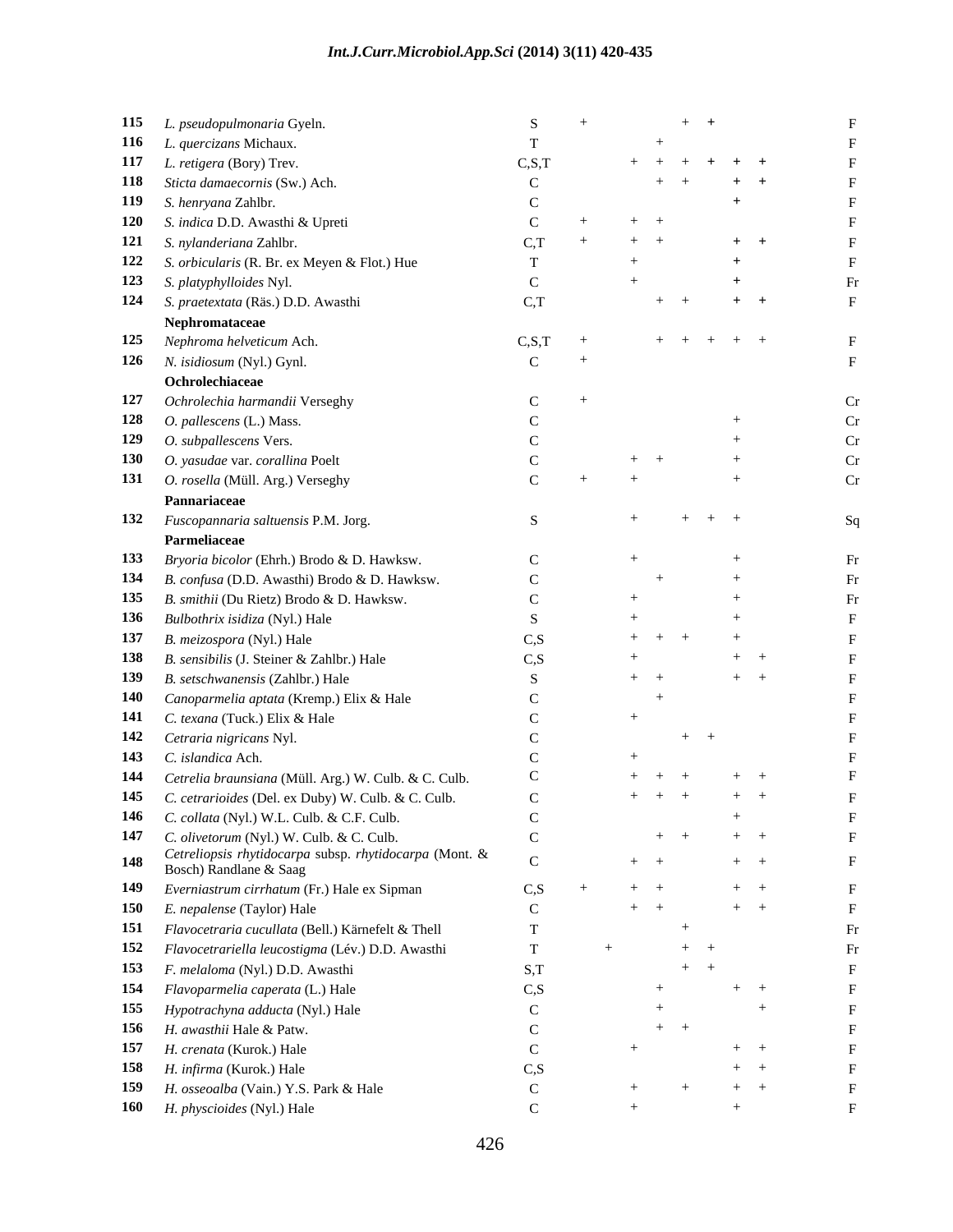| 116 L. quercizans Michaux.<br>117 L. retigera (Bory) Trev.                  |          |             |                     |  |
|-----------------------------------------------------------------------------|----------|-------------|---------------------|--|
|                                                                             |          |             |                     |  |
| 118 Sticta damaecornis (Sw.) Ach.                                           | C.S.T    |             | $+ + + + + + +$     |  |
|                                                                             |          | $+$ $+$     | $+$ $+$             |  |
| 119 S. henryana Zahlbr.                                                     |          |             |                     |  |
| 120 S. indica D.D. Awasthi & Upreti                                         |          | $+$ $+$     |                     |  |
| 121 S. nylanderiana Zahlbr.                                                 |          | $+$ $-$     | $+$ $+$             |  |
| 122 S. orbicularis (R. Br. ex Meyen & Flot.) Hue                            |          |             |                     |  |
| 123 S. platyphylloides Nyl.                                                 |          |             | $^{+}$              |  |
| 124 S. praetextata (Räs.) D.D. Awasthi                                      | C,T      | $+$ $+$     | $+$ $+$             |  |
| Nephromataceae                                                              |          |             |                     |  |
| 125 Nephroma helveticum Ach.                                                | C.S.T    |             | $+$ $+$ $+$ $+$ $+$ |  |
| 126 N. isidiosum (Nyl.) Gynl.                                               |          |             |                     |  |
| Ochrolechiaceae                                                             |          |             |                     |  |
| 127 Ochrolechia harmandii Verseghy                                          |          |             |                     |  |
| 128 O. pallescens (L.) Mass.                                                |          |             |                     |  |
| 129 O. subpallescens Vers.                                                  |          |             |                     |  |
| 130 O. yasudae var. corallina Poelt                                         |          | $+$ $+$     | $^{+}$              |  |
| 131 O. rosella (Müll. Arg.) Verseghy                                        |          |             |                     |  |
| Pannariaceae                                                                |          |             |                     |  |
| 132 Fuscopannaria saltuensis P.M. Jorg.                                     |          |             | $+$ $+$ $+$         |  |
| Parmeliaceae                                                                |          |             |                     |  |
| 133 Bryoria bicolor (Ehrh.) Brodo & D. Hawksw.                              |          |             |                     |  |
| 134 B. confusa (D.D. Awasthi) Brodo & D. Hawksw.                            |          |             |                     |  |
| 135 B. smithii (Du Rietz) Brodo & D. Hawksw.                                |          |             |                     |  |
| 136 Bulbothrix isidiza (Nyl.) Hale                                          |          |             | $^{+}$              |  |
| 137 B. meizospora (Nyl.) Hale                                               | CS       | $+$ $+$     | $+$                 |  |
| 138 B. sensibilis (J. Steiner & Zahlbr.) Hale                               | $\cap$ S |             | $+$ $+$             |  |
| 139 B. setschwanensis (Zahlbr.) Hale                                        |          | $+$ $+$     | $+$ $+$             |  |
| 140 Canoparmelia aptata (Kremp.) Elix & Hale                                |          |             |                     |  |
| 141 C. texana (Tuck.) Elix & Hale                                           |          |             |                     |  |
| 142 Cetraria nigricans Nyl.                                                 |          |             | $+$ $+$             |  |
| 143 C. islandica Ach.                                                       |          |             |                     |  |
| 144 Cetrelia braunsiana (Müll. Arg.) W. Culb. & C. Culb.                    |          | $+$ $+$ $+$ | $+$ $+$             |  |
| 145 C. cetrarioides (Del. ex Duby) W. Culb. & C. Culb.                      |          |             | $+$ $+$ $+$ $+$ $+$ |  |
| 146 C. collata (Nyl.) W.L. Culb. & C.F. Culb.                               |          |             | $^{+}$              |  |
| 147 C. olivetorum (Nyl.) W. Culb. & C. Culb.                                |          | $+$ $+$     | $+$ $+$             |  |
| Cetreliopsis rhytidocarpa subsp. rhytidocarpa (Mont. &                      |          |             |                     |  |
| 148<br>Bosch) Randlane & Saag                                               |          | $+$ $+$     | $+$ $+$             |  |
| 149 Everniastrum cirrhatum (Fr.) Hale ex Sipman                             | C, S     | $+$ $+$     | $+$ $+$             |  |
| 150 E. nepalense (Taylor) Hale                                              |          | $+$ $+$     | $+$ $+$             |  |
|                                                                             |          |             |                     |  |
| 151 Flavocetraria cucullata (Bell.) Kärnefelt & Thell                       |          |             | $+$ $+$             |  |
| 152 Flavocetrariella leucostigma (Lév.) D.D. Awasthi                        |          |             | $+$ $+$             |  |
|                                                                             | S,T      |             |                     |  |
| 153 F. melaloma (Nyl.) D.D. Awasthi<br>154 Flavoparmelia caperata (L.) Hale | C.S      | $+$         | $+$ $+$             |  |
|                                                                             |          | $+$         |                     |  |
| 155 Hypotrachyna adducta (Nyl.) Hale                                        |          | $+$ $+$     |                     |  |
| 156 H. awasthii Hale & Patw.                                                |          |             | $+$ $+$             |  |
| 157 H. crenata (Kurok.) Hale                                                | C.S      |             | $+$ $+$             |  |
| 158 H. infirma (Kurok.) Hale<br>159 H. osseoalba (Vain.) Y.S. Park & Hale   |          |             | $+$ $+$             |  |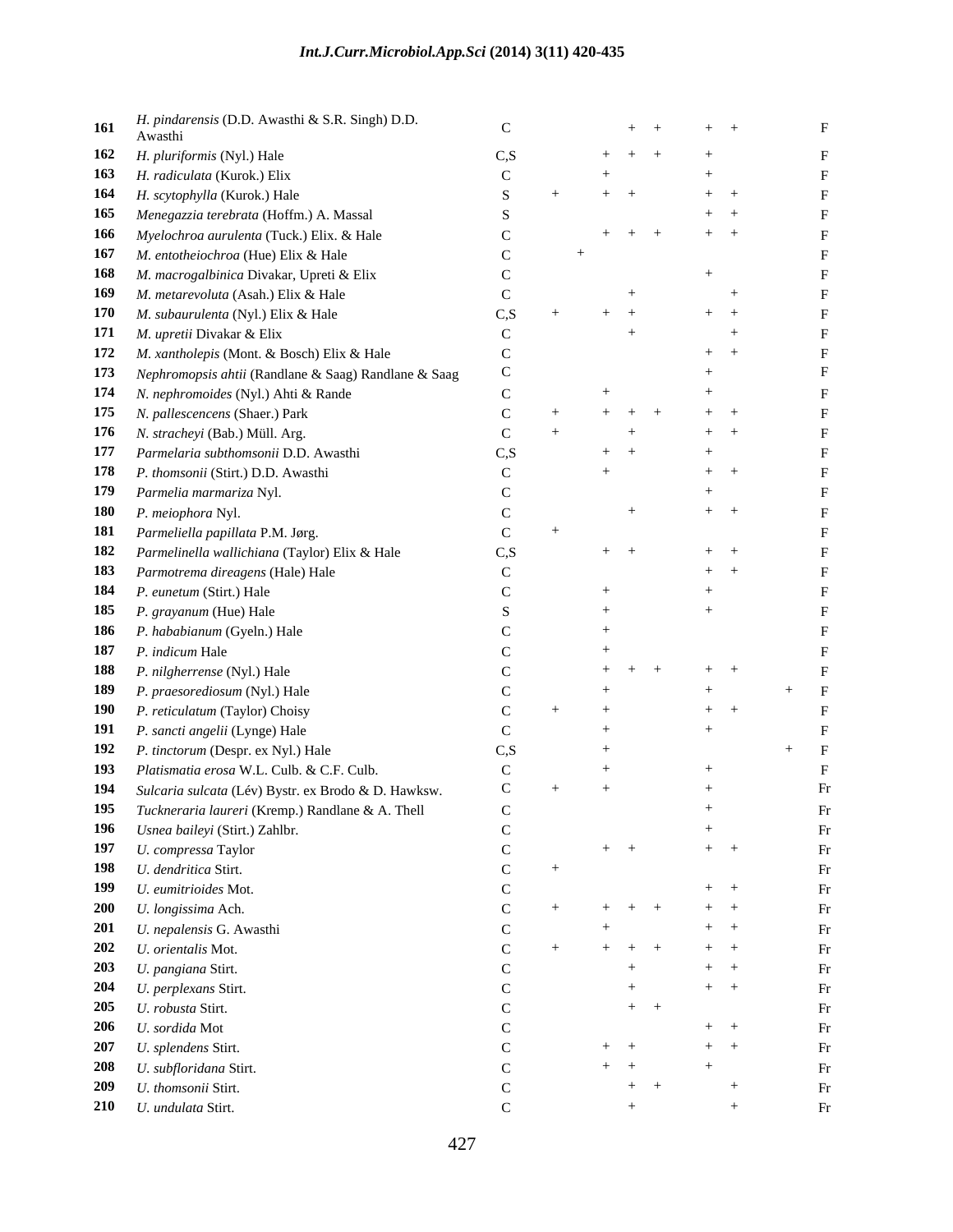| 161 | H. pindarensis (D.D. Awasthi & S.R. Singh) D.D.          |    |             | $+$ $+$ | $+$ $+$ |  |
|-----|----------------------------------------------------------|----|-------------|---------|---------|--|
|     | Awasthi                                                  |    |             |         |         |  |
|     | 162 H. pluriformis (Nyl.) Hale                           | Cς | $+$ $+$     |         |         |  |
|     | 163 H. radiculata (Kurok.) Elix                          |    |             |         |         |  |
|     | 164 H. scytophylla (Kurok.) Hale                         |    |             |         | $+$ $+$ |  |
|     | 165 Menegazzia terebrata (Hoffm.) A. Massal              |    |             |         | $+$ $+$ |  |
|     | 166 Myelochroa aurulenta (Tuck.) Elix. & Hale            |    | $+$ $+$ $+$ |         | $+$ $+$ |  |
|     | 167 M. entotheiochroa (Hue) Elix & Hale                  |    |             |         |         |  |
|     | 168 M. macrogalbinica Divakar, Upreti & Elix             |    |             |         |         |  |
|     | 169 M. metarevoluta (Asah.) Elix & Hale                  |    |             |         |         |  |
|     | 170 M. subaurulenta (Nyl.) Elix & Hale                   |    | $+$ $+$     |         | $+$ $+$ |  |
|     | 171 M. upretii Divakar & Elix                            |    |             |         |         |  |
|     | 172 M. xantholepis (Mont. & Bosch) Elix & Hale           |    |             |         |         |  |
|     | 173 Nephromopsis ahtii (Randlane & Saag) Randlane & Saag |    |             |         |         |  |
|     | 174 N. nephromoides (Nyl.) Ahti & Rande                  |    |             |         |         |  |
|     | 175 N. pallescencens (Shaer.) Park                       |    |             |         | $+$ $-$ |  |
|     | 176 N. stracheyi (Bab.) Müll. Arg.                       |    |             |         | $+$ $+$ |  |
|     | 177 Parmelaria subthomsonii D.D. Awasthi                 |    |             |         |         |  |
|     | 178 P. thomsonii (Stirt.) D.D. Awasthi                   |    |             |         | $+$ $+$ |  |
|     | 179 Parmelia marmariza Nyl.                              |    |             |         |         |  |
|     | 180 P. meiophora Nyl.                                    |    |             |         | $+$ $+$ |  |
|     | 181 Parmeliella papillata P.M. Jørg.                     |    |             |         |         |  |
|     | 182 Parmelinella wallichiana (Taylor) Elix & Hale        |    | $+$ $+$     |         | $+$ $+$ |  |
|     | 183 Parmotrema direagens (Hale) Hale                     |    |             |         | $+$ $+$ |  |
|     | 184 P. eunetum (Stirt.) Hale                             |    |             |         |         |  |
|     | 185 <i>P. grayanum</i> (Hue) Hale                        |    |             |         |         |  |
|     | 186 P. hababianum (Gyeln.) Hale                          |    |             |         |         |  |
|     | 187 P. indicum Hale                                      |    |             |         |         |  |
|     | 188 P. nilgherrense (Nyl.) Hale                          |    |             |         | $+$     |  |
|     |                                                          |    |             |         |         |  |
|     | 189 P. praesorediosum (Nyl.) Hale                        |    |             |         |         |  |
|     | 190 P. reticulatum (Taylor) Choisy                       |    |             |         | $+$ .   |  |
|     | 191 P. sancti angelii (Lynge) Hale                       |    |             |         |         |  |
|     | 192 P. tinctorum (Despr. ex Nyl.) Hale                   |    |             |         |         |  |
|     | 193 Platismatia erosa W.L. Culb. & C.F. Culb.            |    |             |         |         |  |
|     | 194 Sulcaria sulcata (Lév) Bystr. ex Brodo & D. Hawksw.  |    |             |         |         |  |
|     | 195 Tuckneraria laureri (Kremp.) Randlane & A. Thell     |    |             |         |         |  |
|     | 196 Usnea baileyi (Stirt.) Zahlbr.                       |    |             |         | $+$     |  |
|     | 197 U. compressa Taylor                                  |    | $+$ $+$     |         | $+$ $+$ |  |
|     | 198 U. dendritica Stirt.                                 |    |             |         |         |  |
|     | 199 U. eumitrioides Mot.                                 |    |             |         | $+$ $+$ |  |
|     | 200 U. longissima Ach.                                   |    | $+ + +$     |         | $+$ $+$ |  |
|     | 201 U. nepalensis G. Awasthi                             |    |             |         | $+$ $+$ |  |
|     | 202 U. orientalis Mot.                                   |    | $+$ $+$ $+$ |         | $+$ $+$ |  |
|     | 203 U. pangiana Stirt.                                   |    |             |         | $+$ $+$ |  |
|     | 204 U. perplexans Stirt.                                 |    |             |         | $+$ $+$ |  |
|     | 205 U. robusta Stirt.                                    |    |             | $+$ $+$ |         |  |
|     | 206 U. sordida Mot                                       |    |             |         | $+$ $+$ |  |
|     | 207 U. splendens Stirt.                                  |    | $+$ $+$     |         | $+$ $+$ |  |
|     | 208 U. subfloridana Stirt.                               |    | $+$ $+$     |         | $+$     |  |
|     | 209 U. thomsonii Stirt.                                  |    | $+$         |         |         |  |
|     | 210 U. undulata Stirt.                                   |    |             |         |         |  |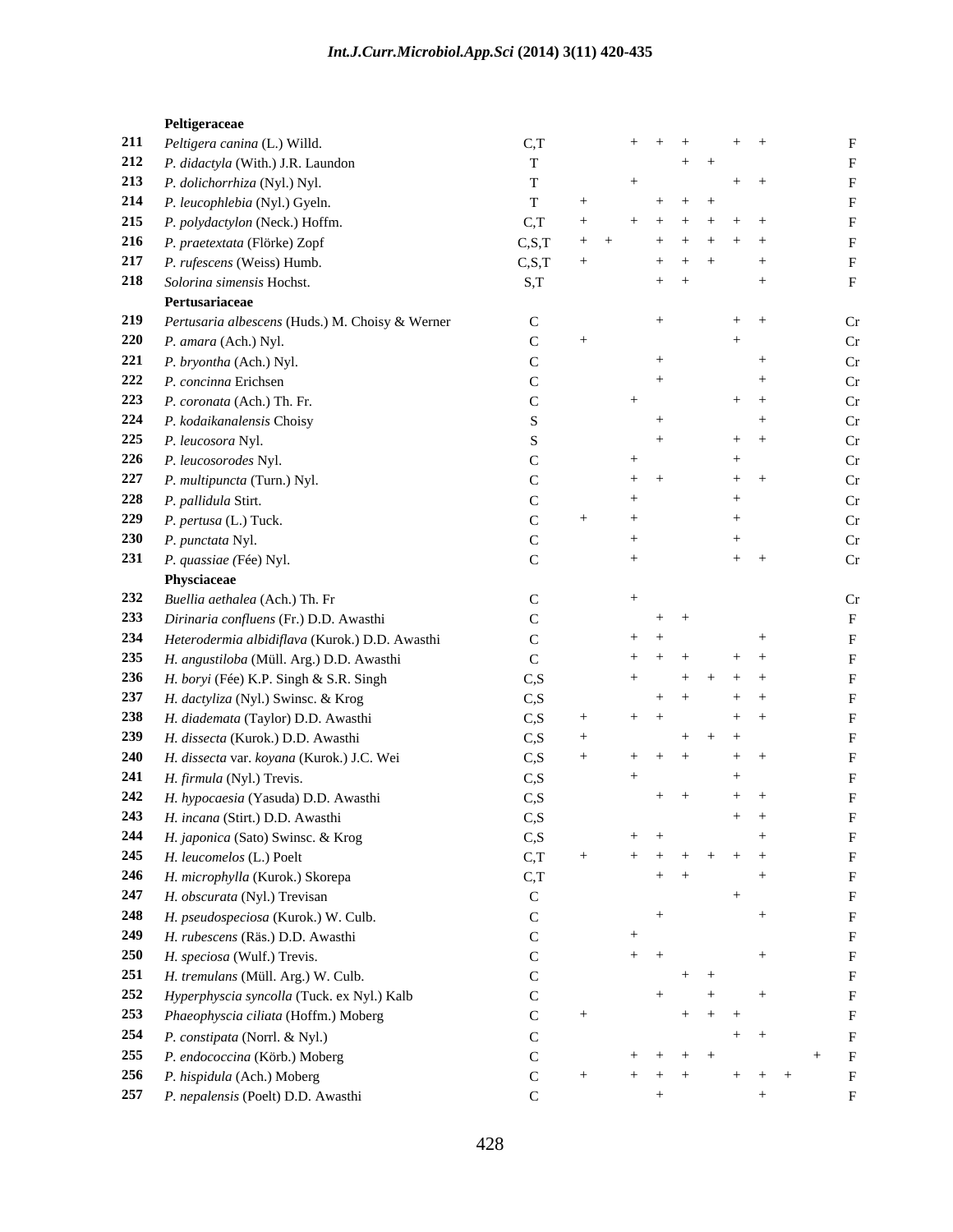### **Peltigeraceae**

| 211 Peltigera canina (L.) Willd.                    | C.T             | $+$ $+$ $+$       |               | $+$ $+$               |     |  |
|-----------------------------------------------------|-----------------|-------------------|---------------|-----------------------|-----|--|
| 212 P. didactyla (With.) J.R. Laundon               |                 |                   | $+$ $+$       |                       |     |  |
| 213 P. dolichorrhiza (Nyl.) Nyl.                    |                 |                   |               | $+$ $+$               |     |  |
| 214 P. leucophlebia (Nyl.) Gyeln.                   |                 |                   | $+$ $+$ $+$   |                       |     |  |
| 215 P. polydactylon (Neck.) Hoffm.                  | $C_{\cdot}$ T   |                   | $+ + + + + +$ |                       |     |  |
| 216 P. praetextata (Flörke) Zopf                    | C.S.T           |                   | $+ + + + + +$ |                       |     |  |
| 217 P. rufescens (Weiss) Humb.                      | C, S, T         |                   | $+$ $+$ $+$   |                       |     |  |
| 218 Solorina simensis Hochst.                       | S,T             |                   | $+$ $+$       |                       |     |  |
| Pertusariaceae                                      |                 |                   |               |                       |     |  |
| 219 Pertusaria albescens (Huds.) M. Choisy & Werner |                 |                   |               | $+$                   |     |  |
| 220 $P. amara (Ach.)$ Nyl.                          |                 |                   |               |                       |     |  |
| 221 P. bryontha (Ach.) Nyl.                         |                 |                   |               |                       |     |  |
| 222 <i>P. concinna</i> Erichsen                     |                 |                   |               |                       |     |  |
| 223 P. coronata (Ach.) Th. Fr.                      |                 |                   |               | $+$                   |     |  |
| 224 P. kodaikanalensis Choisy                       |                 |                   |               |                       |     |  |
| 225 P. leucosora Nyl.                               |                 |                   |               | $+$ $+$               |     |  |
| 226 P. leucosorodes Nyl.                            |                 |                   |               |                       |     |  |
|                                                     |                 |                   |               |                       |     |  |
| 227 P. multipuncta (Turn.) Nyl.                     |                 | $+$ $+$           |               | $+$                   |     |  |
| 228 P. pallidula Stirt.                             |                 |                   |               |                       |     |  |
| 229 P. pertusa (L.) Tuck.                           |                 |                   |               |                       |     |  |
| 230 P. punctata Nyl.                                |                 |                   |               |                       |     |  |
| 231 P. quassiae (Fée) Nyl.                          |                 |                   |               | $+$                   |     |  |
| Physciaceae                                         |                 |                   |               |                       |     |  |
| 232 Buellia aethalea (Ach.) Th. Fr                  |                 |                   |               |                       |     |  |
| 233 Dirinaria confluens (Fr.) D.D. Awasthi          |                 | $+$ $+$           |               |                       |     |  |
| 234 Heterodermia albidiflava (Kurok.) D.D. Awasthi  |                 | $+$ $+$           |               |                       |     |  |
| 235 H. angustiloba (Müll. Arg.) D.D. Awasthi        |                 | $+ + +$           |               | $+$ $+$               |     |  |
| 236 H. boryi (Fée) K.P. Singh & S.R. Singh          | C.S             | $+$               | $+ + + + +$   |                       |     |  |
| 237 H. dactyliza (Nyl.) Swinsc. & Krog              | CS              |                   | $+$ $+$       | $+$ $+$               |     |  |
| 238 H. diademata (Taylor) D.D. Awasthi              | $\mathcal{C}$ S |                   |               | $+$ $+$               |     |  |
| 239 H. dissecta (Kurok.) D.D. Awasthi               | C.S.            |                   | $+$ $+$ $+$   |                       |     |  |
| 240 H. dissecta var. koyana (Kurok.) J.C. Wei       | C.S             |                   |               | $+$ $+$               |     |  |
| 241 H. firmula (Nyl.) Trevis.                       | C.S             |                   |               | $+$                   |     |  |
| 242 H. hypocaesia (Yasuda) D.D. Awasthi             | C.S             |                   | $+$ $+$       | $+$ $+$               |     |  |
| 243 H. incana (Stirt.) D.D. Awasthi                 | C.S             |                   |               | $+$ $+$               |     |  |
| 244 H. japonica (Sato) Swinsc. & Krog               | C, S            | $+$ $+$           |               | $+$                   |     |  |
| 245 H. leucomelos (L.) Poelt                        | C.T             | $+ + + + + + + +$ |               |                       |     |  |
| 246 H. microphylla (Kurok.) Skorepa                 |                 |                   |               |                       |     |  |
|                                                     | C.T             |                   | $+$ $+$       |                       |     |  |
| 247 H. obscurata (Nyl.) Trevisan                    |                 |                   |               | $^{+}$                |     |  |
| 248 H. pseudospeciosa (Kurok.) W. Culb.             |                 | $^{+}$            |               |                       |     |  |
| 249 H. rubescens (Räs.) D.D. Awasthi                |                 |                   |               |                       |     |  |
| 250 H. speciosa (Wulf.) Trevis.                     |                 | $+$ $+$           |               |                       |     |  |
| 251 H. tremulans (Müll. Arg.) W. Culb.              |                 |                   | $+$ $+$       |                       |     |  |
| 252 Hyperphyscia syncolla (Tuck. ex Nyl.) Kalb      |                 | $+$               |               | $+$ $+$               |     |  |
| 253 Phaeophyscia ciliata (Hoffm.) Moberg            |                 |                   | $+$ $+$ $+$   |                       |     |  |
| 254 P. constipata (Norrl. & Nyl.)                   |                 |                   |               | $+$ $+$               |     |  |
| 255 P. endococcina (Körb.) Moberg                   |                 | $+ + + + + +$     |               |                       | $+$ |  |
| 256 P. hispidula (Ach.) Moberg                      |                 |                   |               | $+ + + + + + + + + +$ |     |  |
| 257 P. nepalensis (Poelt) D.D. Awasthi              |                 |                   |               |                       |     |  |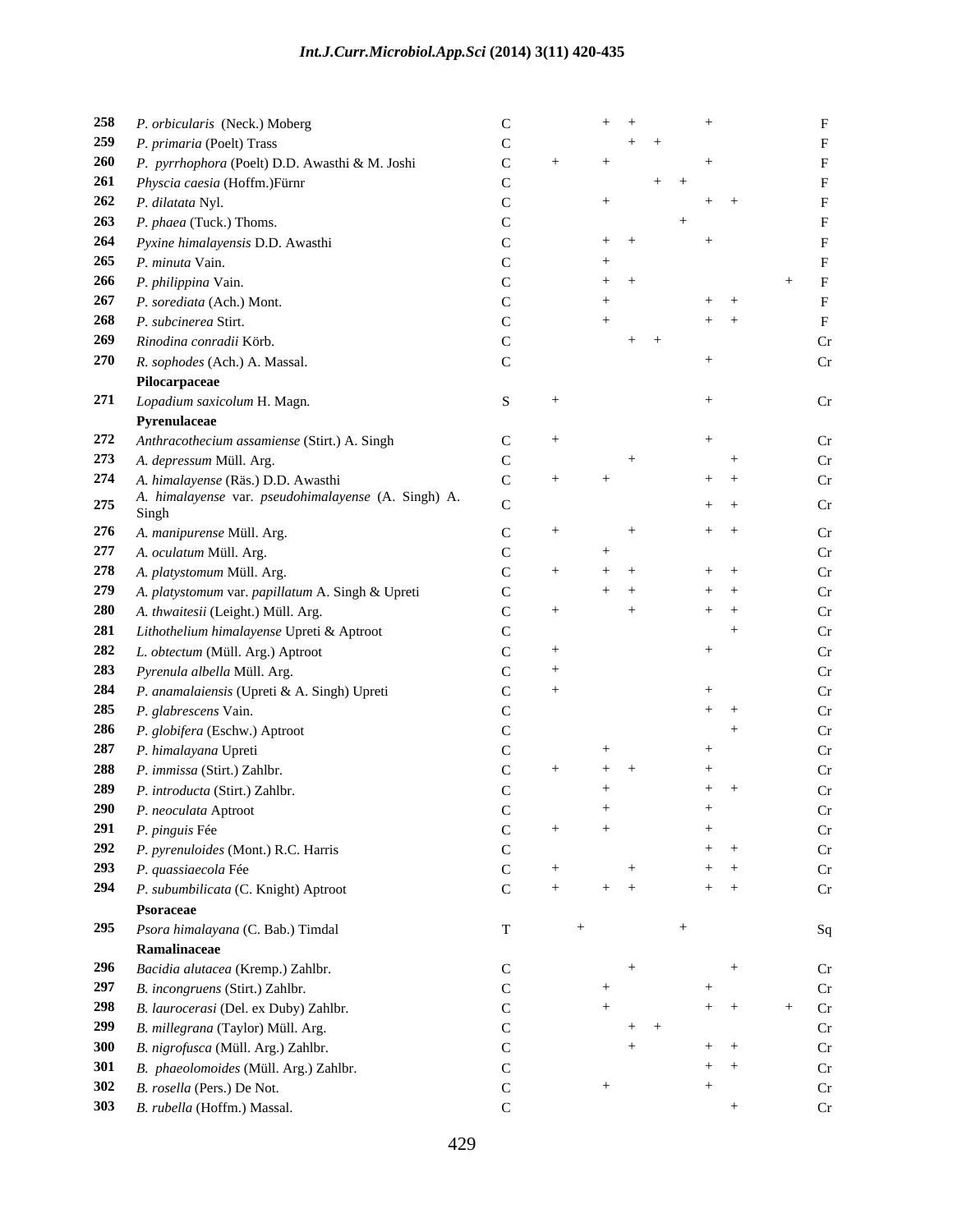| 258 P. orbicularis (Neck.) Moberg                                                                 |  | $+$ $+$ |         | $+$     |            |
|---------------------------------------------------------------------------------------------------|--|---------|---------|---------|------------|
| 259 P. primaria (Poelt) Trass                                                                     |  |         | $+$ $+$ |         |            |
| 260 P. pyrrhophora (Poelt) D.D. Awasthi & M. Joshi                                                |  |         |         |         |            |
| 261 Physcia caesia (Hoffm.)Fürnr                                                                  |  |         | $+$     |         |            |
| 262 P. dilatata Nyl.                                                                              |  |         |         | $+$ $+$ |            |
| 263 P. phaea (Tuck.) Thoms.                                                                       |  |         |         |         |            |
| 264 Pyxine himalayensis D.D. Awasthi                                                              |  | $+$ $+$ |         |         |            |
| 265 P. minuta Vain.                                                                               |  |         |         |         |            |
| 266 P. philippina Vain.                                                                           |  | $+$ $+$ |         |         |            |
| 267 P. sorediata (Ach.) Mont.                                                                     |  |         |         | $+$ $+$ |            |
| 268 P. subcinerea Stirt.                                                                          |  |         |         | $+$ $+$ |            |
| 269 Rinodina conradii Körb.                                                                       |  | $+$ $+$ |         |         |            |
| 270 R. sophodes (Ach.) A. Massal.                                                                 |  |         |         |         |            |
| Pilocarpaceae                                                                                     |  |         |         |         |            |
| 271 Lopadium saxicolum H. Magn.                                                                   |  |         |         |         | Cr         |
| Pyrenulaceae                                                                                      |  |         |         |         |            |
| 272 Anthracothecium assamiense (Stirt.) A. Singh                                                  |  |         |         |         | $\Gamma$ r |
|                                                                                                   |  |         |         |         |            |
| 273 A. depressum Müll. Arg.                                                                       |  |         |         |         |            |
| 274 A. himalayense (Räs.) D.D. Awasthi<br>275 A. himalayense var. pseudohimalayense (A. Singh) A. |  |         |         | $+$ $+$ |            |
| Singh                                                                                             |  |         |         | $+$ $+$ |            |
| 276 A. manipurense Müll. Arg.                                                                     |  |         |         | $+$ $+$ | Cr         |
| 277 A. oculatum Müll. Arg.                                                                        |  |         |         |         |            |
| 278 A. platystomum Müll. Arg.                                                                     |  | $+$ $+$ |         | $+$ $+$ |            |
| 279 A. platystomum var. papillatum A. Singh & Upreti                                              |  | $+$     |         | $+$ $+$ |            |
| 280 A. thwaitesii (Leight.) Müll. Arg.                                                            |  |         |         | $+$ $+$ |            |
| 281 Lithothelium himalayense Upreti & Aptroot                                                     |  |         |         |         |            |
| 282 L. obtectum (Müll. Arg.) Aptroot                                                              |  |         |         |         |            |
| 283 Pyrenula albella Müll. Arg.                                                                   |  |         |         |         |            |
| 284 P. anamalaiensis (Upreti & A. Singh) Upreti                                                   |  |         |         |         |            |
| 285 P. glabrescens Vain.                                                                          |  |         |         | $+$ $+$ |            |
|                                                                                                   |  |         |         |         |            |
| 286 P. globifera (Eschw.) Aptroot                                                                 |  |         |         |         |            |
| 287 P. himalayana Upreti                                                                          |  |         |         |         |            |
| 288 P. immissa (Stirt.) Zahlbr.                                                                   |  | $+$     |         |         |            |
| 289 P. introducta (Stirt.) Zahlbr.                                                                |  |         |         | $+$     |            |
| 290 P. neoculata Aptroot                                                                          |  |         |         |         |            |
| 291 P. pinguis Fée                                                                                |  | $+$     |         | $+$     | Cr         |
| 292 P. pyrenuloides (Mont.) R.C. Harris                                                           |  |         |         | $+$ $+$ | Cr         |
| 293 P. quassiaecola Fée                                                                           |  |         |         | $+$ $+$ | Cr         |
| 294 P. subumbilicata (C. Knight) Aptroot                                                          |  | $+$ $+$ |         | $+$ $+$ | Cr         |
| Psoraceae                                                                                         |  |         |         |         |            |
| 295 Psora himalayana (C. Bab.) Timdal                                                             |  |         |         |         | Sq         |
| Ramalinaceae                                                                                      |  |         |         |         |            |
| 296 Bacidia alutacea (Kremp.) Zahlbr.                                                             |  |         |         |         | Cr         |
| 297 B. incongruens (Stirt.) Zahlbr.                                                               |  |         |         |         | Cr         |
| 298 B. laurocerasi (Del. ex Duby) Zahlbr.                                                         |  |         |         | $+$ $+$ | Cr<br>$+$  |
| 299 B. millegrana (Taylor) Müll. Arg.                                                             |  | $+$ $+$ |         |         | Cr         |
| 300 B. nigrofusca (Müll. Arg.) Zahlbr.                                                            |  |         |         | $+$ $+$ | Cr         |
| 301 B. phaeolomoides (Müll. Arg.) Zahlbr.                                                         |  |         |         | $+$ $+$ | Cr         |
| 302 <i>B. rosella</i> (Pers.) De Not.                                                             |  |         |         |         | Cr         |
| 303 B. rubella (Hoffm.) Massal.                                                                   |  |         |         |         |            |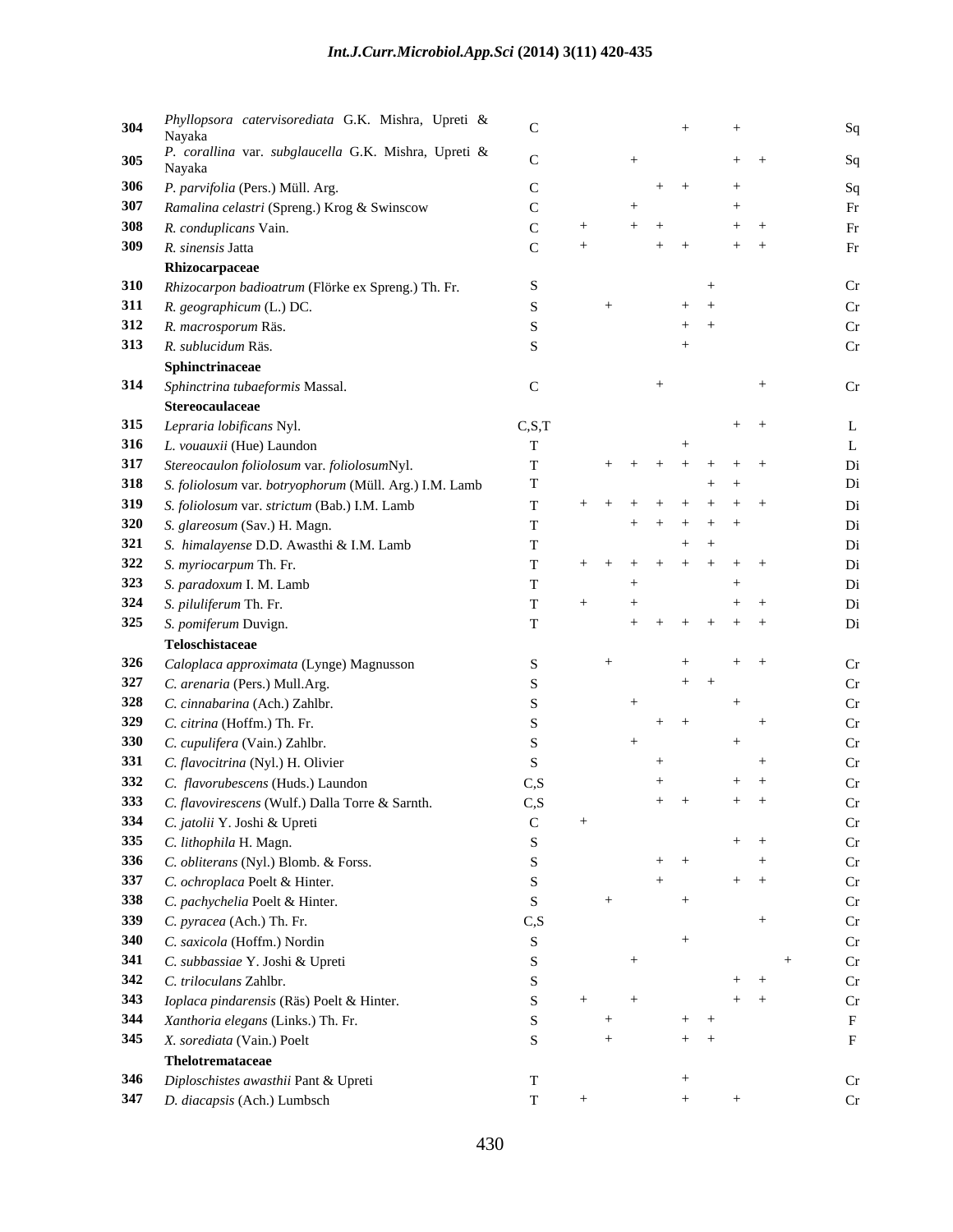| 304 Phyllopsora catervisorediata G.K. Mishra, Upreti & Nayaka |                 |     | $+$                 |    |
|---------------------------------------------------------------|-----------------|-----|---------------------|----|
|                                                               |                 |     |                     |    |
|                                                               |                 |     | $+$ $+$             |    |
|                                                               |                 |     | $+$ $+$<br>$+$      |    |
| 306 P. parvifolia (Pers.) Müll. Arg.                          |                 |     |                     |    |
| 307 Ramalina celastri (Spreng.) Krog & Swinscow               |                 |     |                     |    |
| 308 R. conduplicans Vain.                                     |                 |     | $+$ $+$             |    |
| 309 R. sinensis Jatta                                         |                 |     | $+$ $+$<br>$+$ $+$  |    |
| Rhizocarpaceae                                                |                 |     |                     |    |
| 310 Rhizocarpon badioatrum (Flörke ex Spreng.) Th. Fr.        |                 |     |                     |    |
| 311 R. geographicum (L.) DC.                                  |                 |     | $+$ $+$             |    |
| 312 R. macrosporum Räs.                                       |                 |     | $+$ $+$             |    |
| 313 R. sublucidum Räs.                                        |                 |     |                     |    |
| Sphinctrinaceae                                               |                 |     |                     |    |
| 314 Sphinctrina tubaeformis Massal.                           |                 |     |                     | Cr |
| Stereocaulaceae                                               |                 |     |                     |    |
| 315 Lepraria lobificans Nyl.                                  | C, S, T         |     | $+$ $+$             |    |
| 316 L. vouauxii (Hue) Laundon                                 |                 |     |                     |    |
| 317 Stereocaulon foliolosum var. foliolosumNyl.               |                 |     | $+ + + + + + + +$   |    |
| 318 S. foliolosum var. botryophorum (Müll. Arg.) I.M. Lamb    |                 |     | $+$ $+$             |    |
| 319 S. foliolosum var. strictum (Bab.) I.M. Lamb              |                 |     | + + + + + + + +     |    |
|                                                               |                 |     | $+$ $+$ $+$ $+$ $+$ |    |
| 320 S. glareosum (Sav.) H. Magn.                              |                 |     |                     |    |
| 321 S. himalayense D.D. Awasthi & I.M. Lamb                   |                 |     | $+$ $+$             |    |
| 322 S. myriocarpum Th. Fr.                                    |                 |     | + + + + + + + +     |    |
| 323 S. paradoxum I. M. Lamb                                   |                 |     | $^{+}$              |    |
| 324 S. piluliferum Th. Fr.                                    |                 |     | $+$ $+$             |    |
| 325 S. pomiferum Duvign.                                      |                 |     | $+ + + + + + +$     |    |
| Teloschistaceae                                               |                 |     |                     |    |
| 326 Caloplaca approximata (Lynge) Magnusson                   |                 |     | $+$ $+$             |    |
| 327 C. arenaria (Pers.) Mull.Arg.                             |                 |     | $+$ $+$             |    |
| 328 C. cinnabarina (Ach.) Zahlbr.                             |                 |     | $^{+}$              |    |
| 329 C. citrina (Hoffm.) Th. Fr.                               |                 |     | $+$ $+$             |    |
| 330 C. cupulifera (Vain.) Zahlbr.                             |                 |     |                     |    |
| 331 C. flavocitrina (Nyl.) H. Olivier                         |                 |     |                     |    |
| 332 C. flavorubescens (Huds.) Laundon                         | $\mathcal{C}$ S |     | $+$ $+$             |    |
| 333 C. flavovirescens (Wulf.) Dalla Torre & Sarnth.           | C, S            |     | $+$ $+$<br>$+$ $+$  |    |
| 334 C. jatolii Y. Joshi & Upreti                              |                 | $+$ |                     | Cr |
| 335 C. lithophila H. Magn.                                    |                 |     | $+$ $+$             | Cr |
|                                                               |                 |     |                     |    |
| 336 C. obliterans (Nyl.) Blomb. & Forss.                      |                 |     | $+$ $+$             |    |
| 337 C. ochroplaca Poelt & Hinter.                             |                 | $+$ | $+$ $+$             |    |
| 338 C. pachychelia Poelt & Hinter.                            |                 |     |                     |    |
| 339 C. pyracea (Ach.) Th. Fr.                                 | $\cap$ S        |     |                     |    |
| 340 C. saxicola (Hoffm.) Nordin                               |                 |     |                     |    |
| 341 C. subbassiae Y. Joshi & Upreti                           |                 | $+$ |                     |    |
| 342 C. triloculans Zahlbr.                                    |                 |     | $+$ $+$             |    |
| 343 Ioplaca pindarensis (Räs) Poelt & Hinter.                 |                 |     | $+$ $+$             |    |
| 344 Xanthoria elegans (Links.) Th. Fr.                        |                 |     | $+$ $+$             |    |
| 345 X. sorediata (Vain.) Poelt                                |                 |     | $+$ $+$             |    |
| Thelotremataceae                                              |                 |     |                     |    |
| 346 Diploschistes awasthii Pant & Upreti                      |                 |     |                     | Cr |
| 347 D. diacapsis (Ach.) Lumbsch                               |                 |     | $+$                 | Cr |
|                                                               |                 |     |                     |    |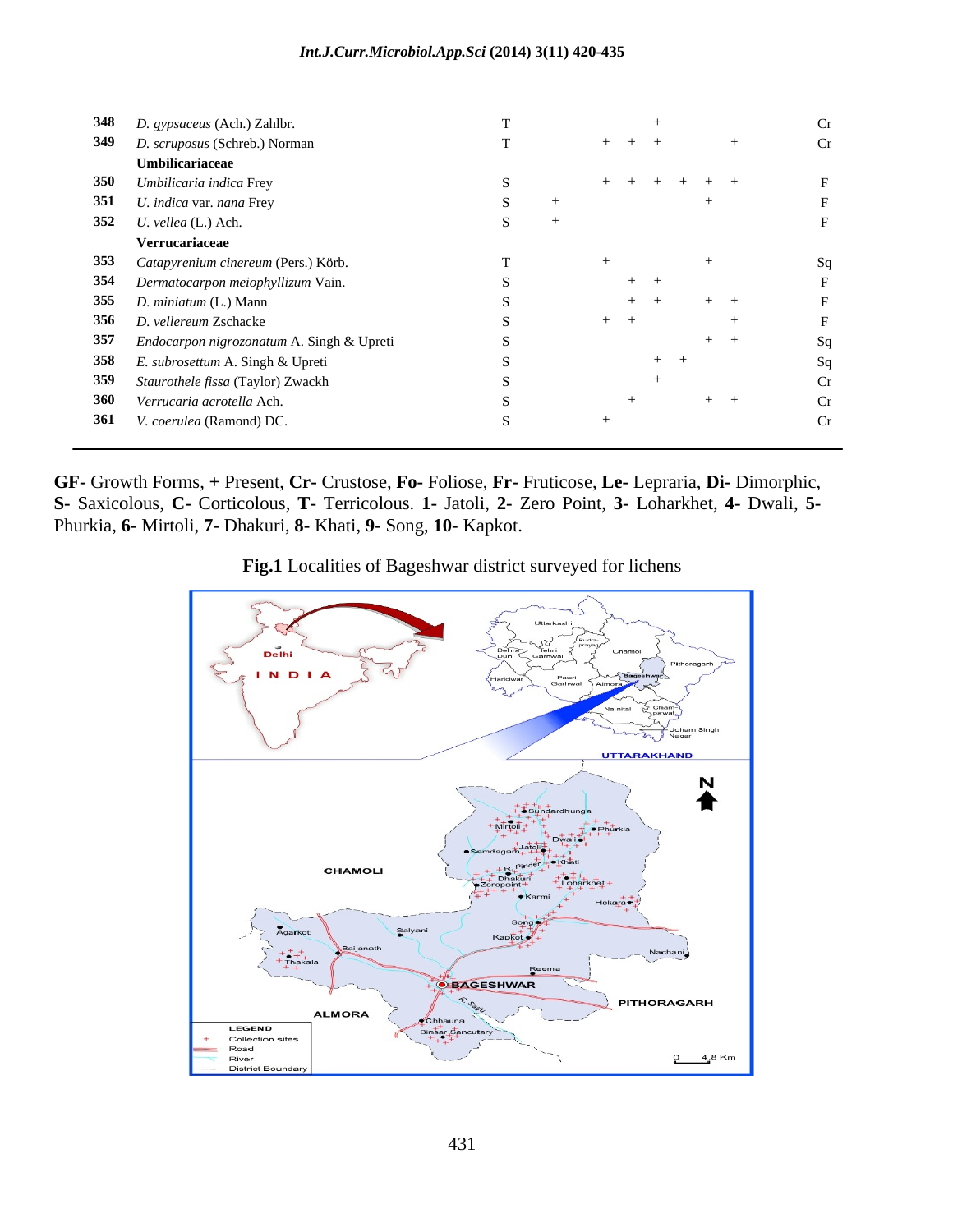| 348 D. gypsaceus (Ach.) Zahlbr.               |                 |  |
|-----------------------------------------------|-----------------|--|
| 349 D. scruposus (Schreb.) Norman             | $+$ $+$ $+$     |  |
| Umbilicariaceae                               |                 |  |
| 350 Umbilicaria indica Frey                   | $+ + + + + + +$ |  |
| 351 U. indica var. nana Frey                  |                 |  |
| 352 <i>U. vellea</i> (L.) Ach.                |                 |  |
| Verrucariaceae                                |                 |  |
| 353 Catapyrenium cinereum (Pers.) Körb.       |                 |  |
| 354 Dermatocarpon meiophyllizum Vain.         | $+$ $+$         |  |
| 355 D. miniatum (L.) Mann                     |                 |  |
| 356 D. vellereum Zschacke                     |                 |  |
| 357 Endocarpon nigrozonatum A. Singh & Upreti |                 |  |
| 358 E. subrosettum A. Singh & Upreti          | $+$ $+$         |  |
| 359 Staurothele fissa (Taylor) Zwackh         |                 |  |
| 360 Verrucaria acrotella Ach.                 |                 |  |
| 361 V. coerulea (Ramond) DC.                  |                 |  |

**GF-** Growth Forms, **+** Present, **Cr-** Crustose, **Fo-** Foliose, **Fr-** Fruticose, **Le-** Lepraria, **Di-** Dimorphic, **S-** Saxicolous, **C-** Corticolous, **T-** Terricolous. **1-** Jatoli, **2-** Zero Point, **3-** Loharkhet, **4-** Dwali, **5-** Phurkia, **6-** Mirtoli, **7-** Dhakuri, **8-** Khati, **9-** Song, **10-** Kapkot.

**Fig.1** Localities of Bageshwar district surveyed for lichens

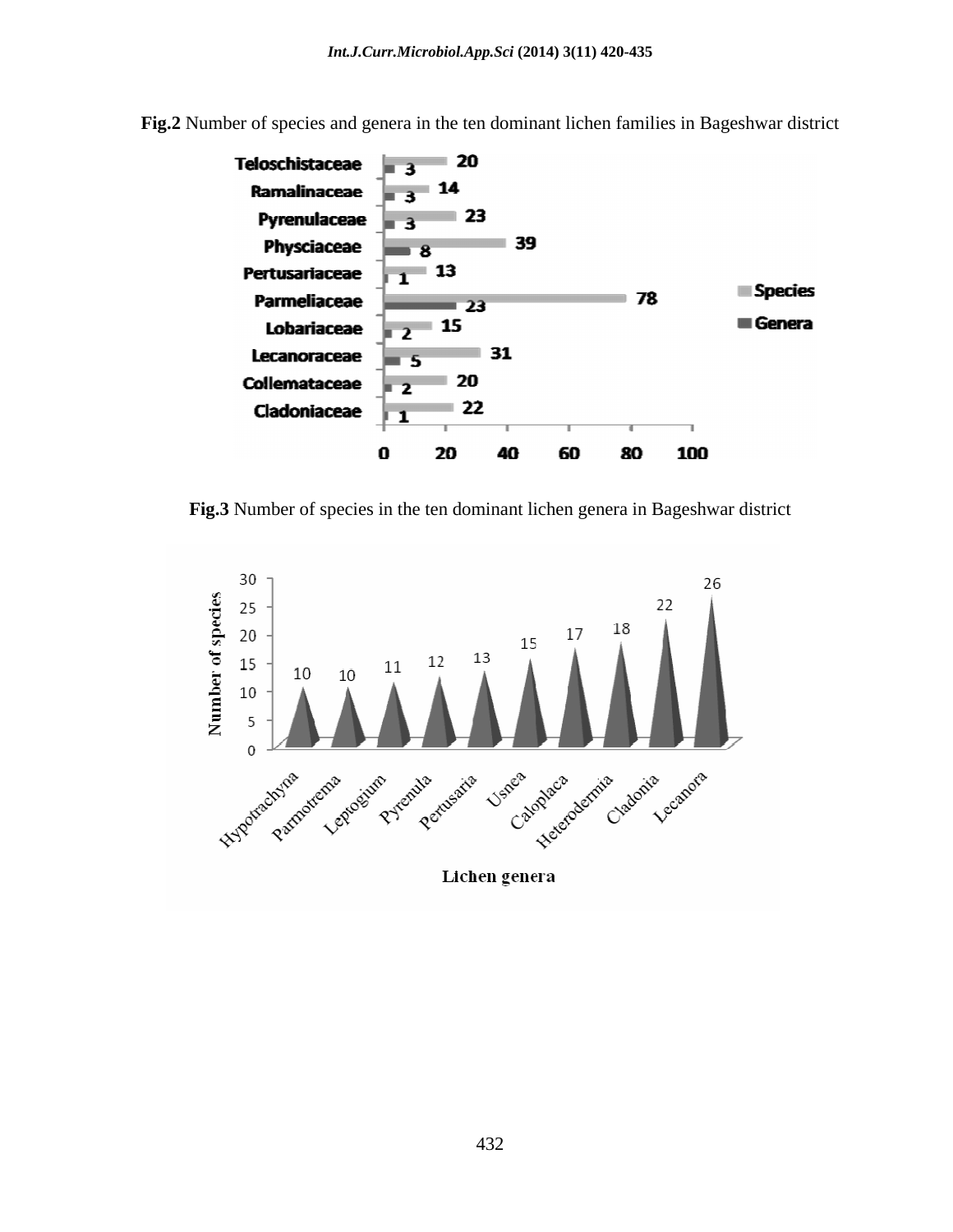

**Fig.2** Number of species and genera in the ten dominant lichen families in Bageshwar district

**Fig.3** Number of species in the ten dominant lichen genera in Bageshwar district



Lichen genera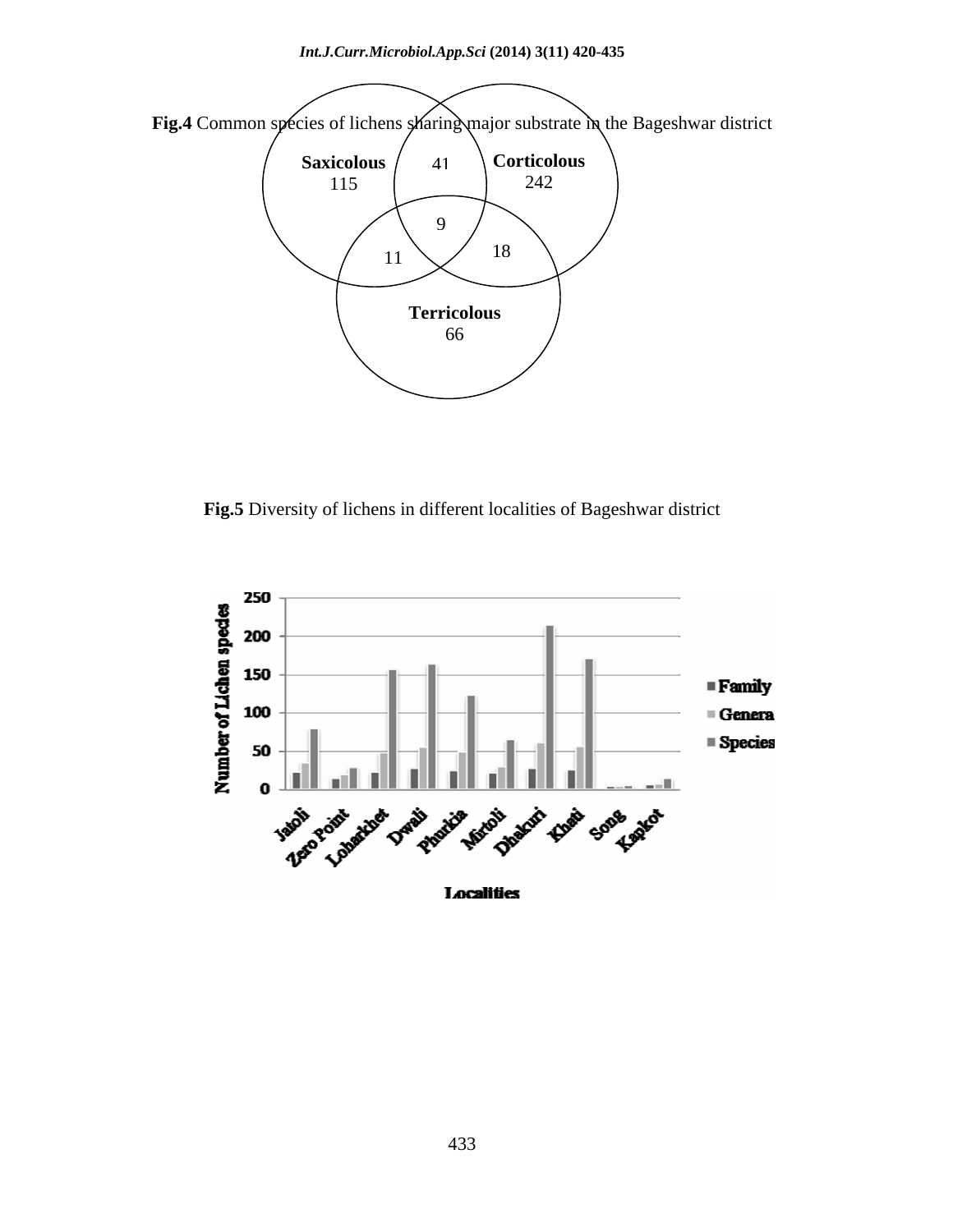

**Fig.5** Diversity of lichens in different localities of Bageshwar district

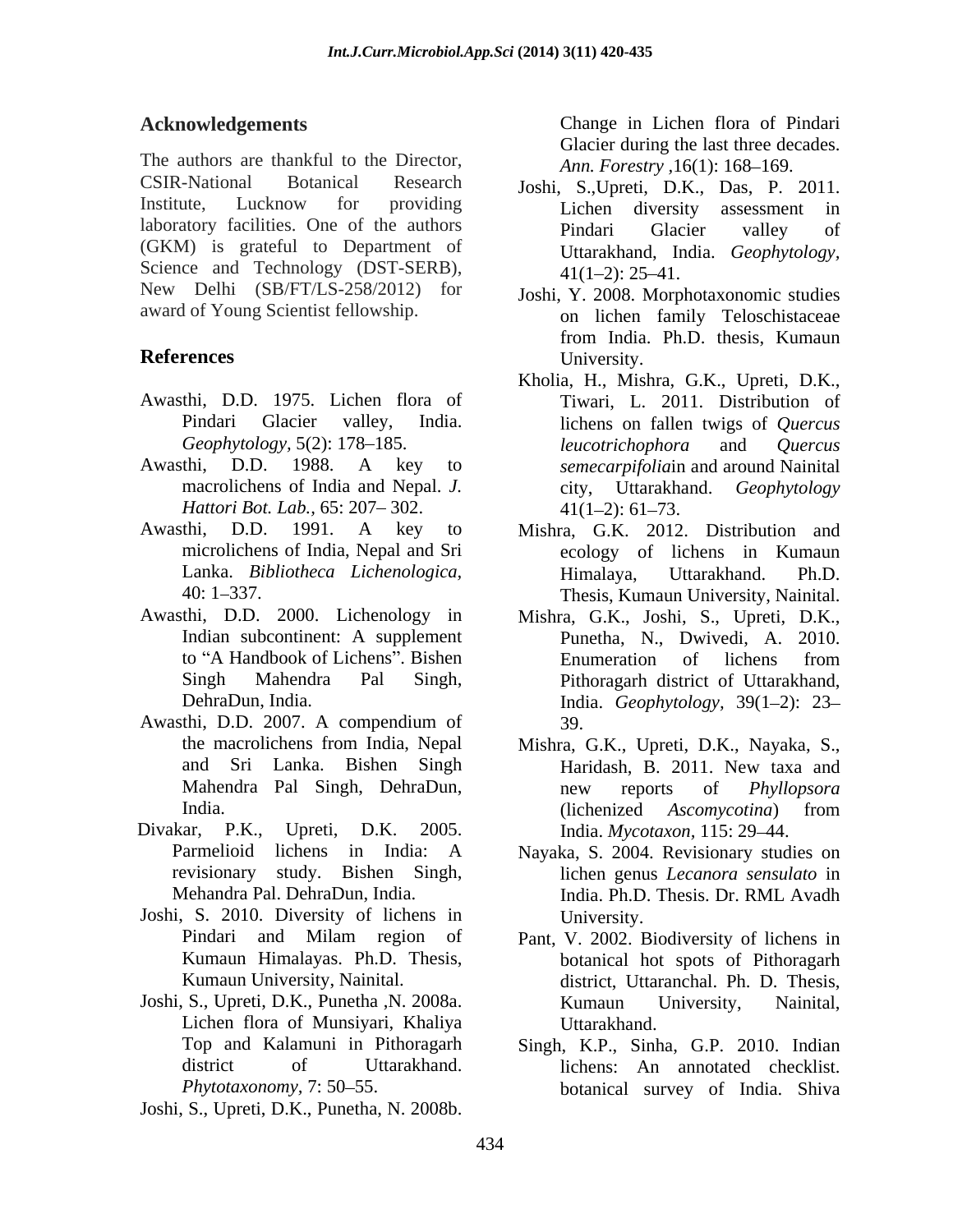The authors are thankful to the Director, CSIR-National Botanical Research Joshi, S.,Upreti, D.K., Das, P. 2011. Institute, Lucknow for providing  $\overline{L}$  Lichen diversity assessment in laboratory facilities. One of the authors **Excellent Construction** and **Pindari** Glacier valley of (GKM) is grateful to Department of Science and Technology (DST-SERB),  $41(1-2)$ : 25-41. New Delhi (SB/FT/LS-258/2012) for Acked presentation is the most increase in Eclean (Note in the Sixteen for the Sixteen Content (Note in the Sixteen of the Sixteen of the Sixteen of the Sixteen of the Sixteen of the Sixteen of the Sixteen of the Sixteen

- Awasthi, D.D. 1975. Lichen flora of
- *Hattori Bot. Lab.,* 65: 207–302. 41(1–2): 61–73.
- 
- Awasthi, D.D. 2000. Lichenology in Indian subcontinent: A supplement
- Awasthi, D.D. 2007. A compendium of
- Divakar, P.K., Upreti, D.K. 2005. India. *Mycotaxon,* 115: 29 44.
- Joshi, S. 2010. Diversity of lichens in
- Lichen flora of Munsiyari, Khaliya Uttarakhand.<br>Top and Kalamuni in Pithoragarh Singh, K.P., Sinl

**Acknowledgements** Change in Lichen flora of Pindari Glacier during the last three decades. *Ann. Forestry*, 16(1): 168-169.

- Lichen diversity assessment in Pindari Glacier valley of Uttarakhand, India. *Geophytology,*  $41(1-2)$ : 25-41.
- award of Young Scientist fellowship. on lichen family Teloschistaceae **References** University. Joshi, Y. 2008. Morphotaxonomic studies from India. Ph.D. thesis, Kumaun University.
- Pindari Glacier valley, India. lichens on fallen twigs of *Quercus Geophytology,* 5(2): 178–185. *leucotrichophora* and *Quercus* Awasthi, D.D. 1988. A key to *semecarpifoliain* and around Nainital macrolichens of India and Nepal. *J.*  city, Uttarakhand. *Geophytology*  Kholia, H., Mishra, G.K., Upreti, D.K., Tiwari, L. 2011. Distribution of *leucotrichophora* and *Quercus semecarpifolia*in and around Nainital  $41(1-2): 61-73.$
- Awasthi, D.D. 1991. A key to Mishra, G.K. 2012. Distribution and microlichens of India, Nepal and Sri ecology of lichens in Kumaun Lanka. *Bibliotheca Lichenologica,* 40: 1 337. Thesis, Kumaun University, Nainital. Himalaya, Uttarakhand. Ph.D.
	- to "A Handbook of Lichens". Bishen Enumeration of lichens from Singh Mahendra Pal Singh, Pithoragarh district of Uttarakhand, DehraDun, India. **India.** *Geophytology*, 39(1–2): 23– Mishra, G.K., Joshi, S., Upreti, D.K., Punetha, N., Dwivedi, A. 2010. Enumeration of lichens from 39.
	- the macrolichens from India, Nepal Mishra, G.K., Upreti, D.K., Nayaka, S., and Sri Lanka. Bishen Singh Mahendra Pal Singh, DehraDun, India. (lichenized *Ascomveotina*) from Haridash, B. 2011. New taxa and new reports of *Phyllopsora*  (lichenized *Ascomycotina*) from
	- Parmelioid lichens in India: A Nayaka, S. 2004. Revisionary studies on revisionary study. Bishen Singh, lichen genus *Lecanora sensulato* in Mehandra Pal. DehraDun, India. India. Ph.D. Thesis. Dr. RML Avadh University.
- Pindari and Milam region of Pant, V. 2002. Biodiversity of lichens in Kumaun Himalayas. Ph.D. Thesis, botanical hot spots of Pithoragarh Kumaun University, Nainital. district, Uttaranchal. Ph. D. Thesis, Joshi, S., Upreti, D.K., Punetha ,N. 2008a. Kumaun University, Nainital, Uttarakhand.
	- Top and Kalamuni in Pithoragarh Singh, K.P., Sinha, G.P. 2010. Indian district of Uttarakhand. lichens: An annotated checklist. Phytotaxonomy, 7: 50–55. botanical survey of India. Shiva